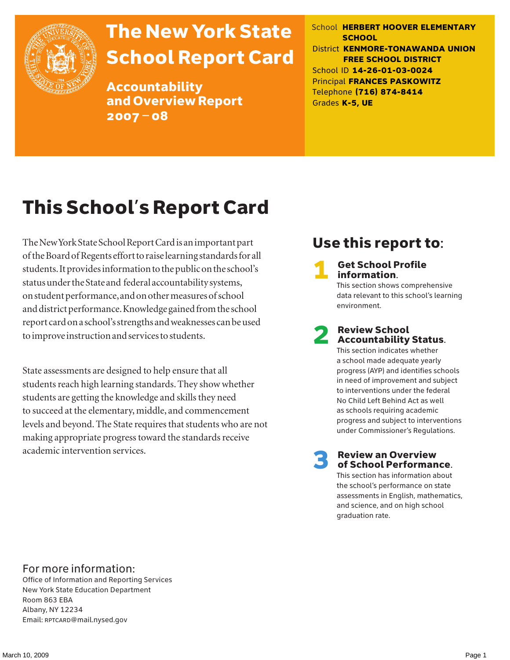

# The New York State School Report Card

Accountability and Overview Report 2007–08

School **HERBERT HOOVER ELEMENTARY SCHOOL** District **KENMORE-TONAWANDA UNION FREE SCHOOL DISTRICT** School ID **14-26-01-03-0024** Principal **FRANCES PASKOWITZ** Telephone **(716) 874-8414** Grades **K-5, UE**

# This School's Report Card

The New York State School Report Card is an important part of the Board of Regents effort to raise learning standards for all students. It provides information to the public on the school's status under the State and federal accountability systems, on student performance, and on other measures of school and district performance. Knowledge gained from the school report card on a school's strengths and weaknesses can be used to improve instruction and services to students.

State assessments are designed to help ensure that all students reach high learning standards. They show whether students are getting the knowledge and skills they need to succeed at the elementary, middle, and commencement levels and beyond. The State requires that students who are not making appropriate progress toward the standards receive academic intervention services.

### Use this report to:

**Get School Profile** information.

This section shows comprehensive data relevant to this school's learning environment.

# 2 Review School Accountability Status.

This section indicates whether a school made adequate yearly progress (AYP) and identifies schools in need of improvement and subject to interventions under the federal No Child Left Behind Act as well as schools requiring academic progress and subject to interventions under Commissioner's Regulations.

**Review an Overview** of School Performance.

This section has information about the school's performance on state assessments in English, mathematics, and science, and on high school graduation rate.

### For more information:

Office of Information and Reporting Services New York State Education Department Room 863 EBA Albany, NY 12234 Email: RPTCARD@mail.nysed.gov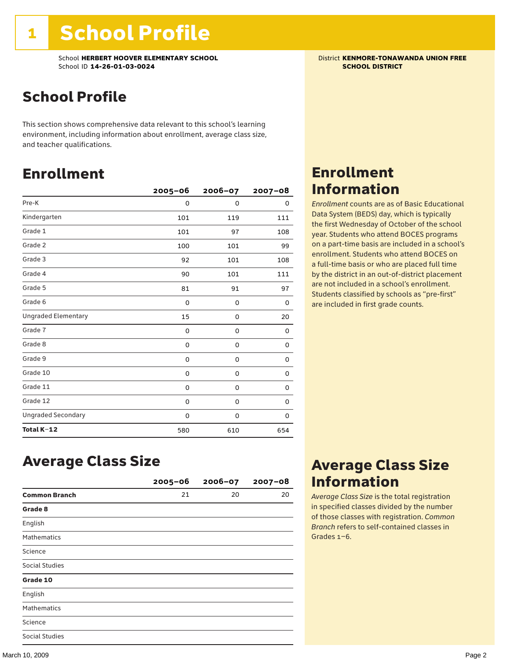School **HERBERT HOOVER ELEMENTARY SCHOOL** District **KENMORE-TONAWANDA UNION FREE**<br>School ID 14-26-01-03-0024 **District Act of Act of Act of Act of Act of Act of SCHOOL DISTRICT** School ID **14-26-01-03-0024** 

### School Profile

This section shows comprehensive data relevant to this school's learning environment, including information about enrollment, average class size, and teacher qualifications.

### Enrollment

|                            | $2005 - 06$ | $2006 - 07$ | $2007 - 08$ |
|----------------------------|-------------|-------------|-------------|
| Pre-K                      | 0           | $\Omega$    | 0           |
| Kindergarten               | 101         | 119         | 111         |
| Grade 1                    | 101         | 97          | 108         |
| Grade 2                    | 100         | 101         | 99          |
| Grade 3                    | 92          | 101         | 108         |
| Grade 4                    | 90          | 101         | 111         |
| Grade 5                    | 81          | 91          | 97          |
| Grade 6                    | 0           | 0           | 0           |
| <b>Ungraded Elementary</b> | 15          | 0           | 20          |
| Grade 7                    | 0           | 0           | 0           |
| Grade 8                    | 0           | 0           | 0           |
| Grade 9                    | 0           | 0           | 0           |
| Grade 10                   | 0           | 0           | 0           |
| Grade 11                   | 0           | 0           | 0           |
| Grade 12                   | 0           | 0           | 0           |
| <b>Ungraded Secondary</b>  | 0           | 0           | 0           |
| Total K-12                 | 580         | 610         | 654         |

### Enrollment Information

*Enrollment* counts are as of Basic Educational Data System (BEDS) day, which is typically the first Wednesday of October of the school year. Students who attend BOCES programs on a part-time basis are included in a school's enrollment. Students who attend BOCES on a full-time basis or who are placed full time by the district in an out-of-district placement are not included in a school's enrollment. Students classified by schools as "pre-first" are included in first grade counts.

### Average Class Size

|                       | $2005 - 06$ | $2006 - 07$ | $2007 - 08$ |
|-----------------------|-------------|-------------|-------------|
| <b>Common Branch</b>  | 21          | 20          | 20          |
| Grade 8               |             |             |             |
| English               |             |             |             |
| <b>Mathematics</b>    |             |             |             |
| Science               |             |             |             |
| <b>Social Studies</b> |             |             |             |
| Grade 10              |             |             |             |
| English               |             |             |             |
| <b>Mathematics</b>    |             |             |             |
| Science               |             |             |             |
| <b>Social Studies</b> |             |             |             |

### Average Class Size Information

*Average Class Size* is the total registration in specified classes divided by the number of those classes with registration. *Common Branch* refers to self-contained classes in Grades 1–6.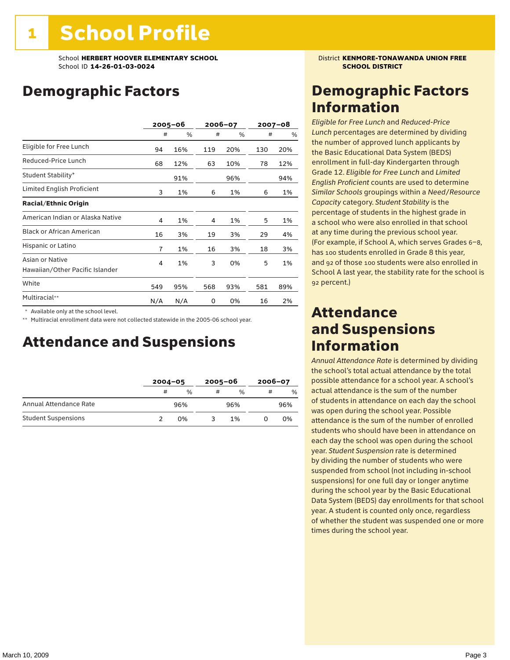### Demographic Factors

|                                                    |                | $2005 - 06$ | 2006-07 |     | 2007-08 |     |
|----------------------------------------------------|----------------|-------------|---------|-----|---------|-----|
|                                                    | #              | %           | #       | %   | #       | %   |
| Eligible for Free Lunch                            | 94             | 16%         | 119     | 20% | 130     | 20% |
| Reduced-Price Lunch                                | 68             | 12%         | 63      | 10% | 78      | 12% |
| Student Stability*                                 |                | 91%         |         | 96% |         | 94% |
| Limited English Proficient                         | 3              | 1%          | 6       | 1%  | 6       | 1%  |
| <b>Racial/Ethnic Origin</b>                        |                |             |         |     |         |     |
| American Indian or Alaska Native                   | 4              | 1%          | 4       | 1%  | 5       | 1%  |
| <b>Black or African American</b>                   | 16             | 3%          | 19      | 3%  | 29      | 4%  |
| Hispanic or Latino                                 | $\overline{7}$ | 1%          | 16      | 3%  | 18      | 3%  |
| Asian or Native<br>Hawaiian/Other Pacific Islander | 4              | 1%          | 3       | 0%  | 5       | 1%  |
| White                                              | 549            | 95%         | 568     | 93% | 581     | 89% |
| Multiracial**                                      | N/A            | N/A         | 0       | 0%  | 16      | 2%  |

\* Available only at the school level.

\*\* Multiracial enrollment data were not collected statewide in the 2005-06 school year.

### Attendance and Suspensions

|                            |   | $2004 - 05$ |   | $2005 - 06$   |   | $2006 - 07$ |  |
|----------------------------|---|-------------|---|---------------|---|-------------|--|
|                            | # | $\%$        | # | $\frac{0}{0}$ | # | %           |  |
| Annual Attendance Rate     |   | 96%         |   | 96%           |   | 96%         |  |
| <b>Student Suspensions</b> |   | 0%          |   | 1%            |   | 0%          |  |

### Demographic Factors Information

*Eligible for Free Lunch* and *Reduced*-*Price Lunch* percentages are determined by dividing the number of approved lunch applicants by the Basic Educational Data System (BEDS) enrollment in full-day Kindergarten through Grade 12. *Eligible for Free Lunch* and *Limited English Proficient* counts are used to determine *Similar Schools* groupings within a *Need*/*Resource Capacity* category. *Student Stability* is the percentage of students in the highest grade in a school who were also enrolled in that school at any time during the previous school year. (For example, if School A, which serves Grades 6–8, has 100 students enrolled in Grade 8 this year, and 92 of those 100 students were also enrolled in School A last year, the stability rate for the school is 92 percent.)

### Attendance and Suspensions Information

*Annual Attendance Rate* is determined by dividing the school's total actual attendance by the total possible attendance for a school year. A school's actual attendance is the sum of the number of students in attendance on each day the school was open during the school year. Possible attendance is the sum of the number of enrolled students who should have been in attendance on each day the school was open during the school year. *Student Suspension* rate is determined by dividing the number of students who were suspended from school (not including in-school suspensions) for one full day or longer anytime during the school year by the Basic Educational Data System (BEDS) day enrollments for that school year. A student is counted only once, regardless of whether the student was suspended one or more times during the school year.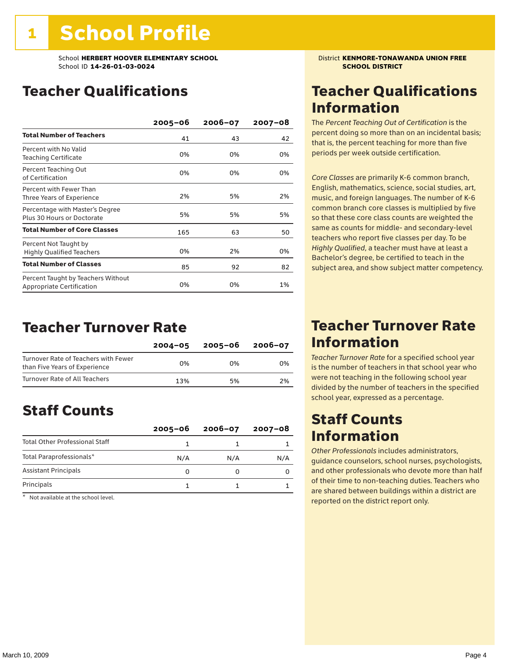School **HERBERT HOOVER ELEMENTARY SCHOOL** District **KENMORE-TONAWANDA UNION FREE**<br>School ID 14-26-01-03-0024 **District And School District KENMORE-TONAWANDA UNION FREE** School ID **14-26-01-03-0024** 

### Teacher Qualifications

|                                                                 | $2005 - 06$ | $2006 - 07$ | $2007 - 08$ |
|-----------------------------------------------------------------|-------------|-------------|-------------|
| <b>Total Number of Teachers</b>                                 | 41          | 43          | 42          |
| Percent with No Valid<br>Teaching Certificate                   | 0%          | 0%          | 0%          |
| Percent Teaching Out<br>of Certification                        | 0%          | 0%          | 0%          |
| Percent with Fewer Than<br>Three Years of Experience            | 2%          | 5%          | 2%          |
| Percentage with Master's Degree<br>Plus 30 Hours or Doctorate   | 5%          | 5%          | 5%          |
| <b>Total Number of Core Classes</b>                             | 165         | 63          | 50          |
| Percent Not Taught by<br><b>Highly Qualified Teachers</b>       | 0%          | 2%          | 0%          |
| <b>Total Number of Classes</b>                                  | 85          | 92          | 82          |
| Percent Taught by Teachers Without<br>Appropriate Certification | 0%          | 0%          | 1%          |

### Teacher Turnover Rate

|                                                                       | $2004 - 05$ | 2005-06 | 2006-07 |
|-----------------------------------------------------------------------|-------------|---------|---------|
| Turnover Rate of Teachers with Fewer<br>than Five Years of Experience | በ%          | በ%      | በ%      |
| Turnover Rate of All Teachers                                         | 13%         | 5%      | 2%      |

### Staff Counts

|                                       | $2005 - 06$ | $2006 - 07$ | 2007-08 |
|---------------------------------------|-------------|-------------|---------|
| <b>Total Other Professional Staff</b> |             |             |         |
| Total Paraprofessionals*              | N/A         | N/A         | N/A     |
| <b>Assistant Principals</b>           |             |             |         |
| Principals                            |             |             |         |

\* Not available at the school level.

### Teacher Qualifications Information

The *Percent Teaching Out of Certification* is the percent doing so more than on an incidental basis; that is, the percent teaching for more than five periods per week outside certification.

*Core Classes* are primarily K-6 common branch, English, mathematics, science, social studies, art, music, and foreign languages. The number of K-6 common branch core classes is multiplied by five so that these core class counts are weighted the same as counts for middle- and secondary-level teachers who report five classes per day. To be *Highly Qualified*, a teacher must have at least a Bachelor's degree, be certified to teach in the subject area, and show subject matter competency.

### Teacher Turnover Rate Information

*Teacher Turnover Rate* for a specified school year is the number of teachers in that school year who were not teaching in the following school year divided by the number of teachers in the specified school year, expressed as a percentage.

### Staff Counts Information

*Other Professionals* includes administrators, guidance counselors, school nurses, psychologists, and other professionals who devote more than half of their time to non-teaching duties. Teachers who are shared between buildings within a district are reported on the district report only.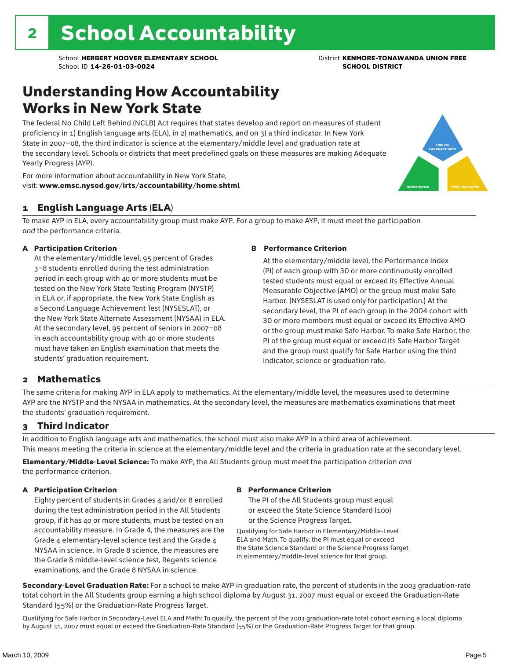### Understanding How Accountability Works in New York State

The federal No Child Left Behind (NCLB) Act requires that states develop and report on measures of student proficiency in 1) English language arts (ELA), in 2) mathematics, and on 3) a third indicator. In New York State in 2007–08, the third indicator is science at the elementary/middle level and graduation rate at the secondary level. Schools or districts that meet predefined goals on these measures are making Adequate Yearly Progress (AYP).



For more information about accountability in New York State, visit: www.emsc.nysed.gov/irts/accountability/home.shtml

### 1 English Language Arts (ELA)

To make AYP in ELA, every accountability group must make AYP. For a group to make AYP, it must meet the participation *and* the performance criteria.

#### A Participation Criterion

At the elementary/middle level, 95 percent of Grades 3–8 students enrolled during the test administration period in each group with 40 or more students must be tested on the New York State Testing Program (NYSTP) in ELA or, if appropriate, the New York State English as a Second Language Achievement Test (NYSESLAT), or the New York State Alternate Assessment (NYSAA) in ELA. At the secondary level, 95 percent of seniors in 2007–08 in each accountability group with 40 or more students must have taken an English examination that meets the students' graduation requirement.

#### B Performance Criterion

At the elementary/middle level, the Performance Index (PI) of each group with 30 or more continuously enrolled tested students must equal or exceed its Effective Annual Measurable Objective (AMO) or the group must make Safe Harbor. (NYSESLAT is used only for participation.) At the secondary level, the PI of each group in the 2004 cohort with 30 or more members must equal or exceed its Effective AMO or the group must make Safe Harbor. To make Safe Harbor, the PI of the group must equal or exceed its Safe Harbor Target and the group must qualify for Safe Harbor using the third indicator, science or graduation rate.

### 2 Mathematics

The same criteria for making AYP in ELA apply to mathematics. At the elementary/middle level, the measures used to determine AYP are the NYSTP and the NYSAA in mathematics. At the secondary level, the measures are mathematics examinations that meet the students' graduation requirement.

### 3 Third Indicator

In addition to English language arts and mathematics, the school must also make AYP in a third area of achievement. This means meeting the criteria in science at the elementary/middle level and the criteria in graduation rate at the secondary level.

Elementary/Middle-Level Science: To make AYP, the All Students group must meet the participation criterion *and* the performance criterion.

#### A Participation Criterion

Eighty percent of students in Grades 4 and/or 8 enrolled during the test administration period in the All Students group, if it has 40 or more students, must be tested on an accountability measure. In Grade 4, the measures are the Grade 4 elementary-level science test and the Grade 4 NYSAA in science. In Grade 8 science, the measures are the Grade 8 middle-level science test, Regents science examinations, and the Grade 8 NYSAA in science.

#### B Performance Criterion

The PI of the All Students group must equal or exceed the State Science Standard (100) or the Science Progress Target.

Qualifying for Safe Harbor in Elementary/Middle-Level ELA and Math: To qualify, the PI must equal or exceed the State Science Standard or the Science Progress Target in elementary/middle-level science for that group.

Secondary-Level Graduation Rate: For a school to make AYP in graduation rate, the percent of students in the 2003 graduation-rate total cohort in the All Students group earning a high school diploma by August 31, 2007 must equal or exceed the Graduation-Rate Standard (55%) or the Graduation-Rate Progress Target.

Qualifying for Safe Harbor in Secondary-Level ELA and Math: To qualify, the percent of the 2003 graduation-rate total cohort earning a local diploma by August 31, 2007 must equal or exceed the Graduation-Rate Standard (55%) or the Graduation-Rate Progress Target for that group.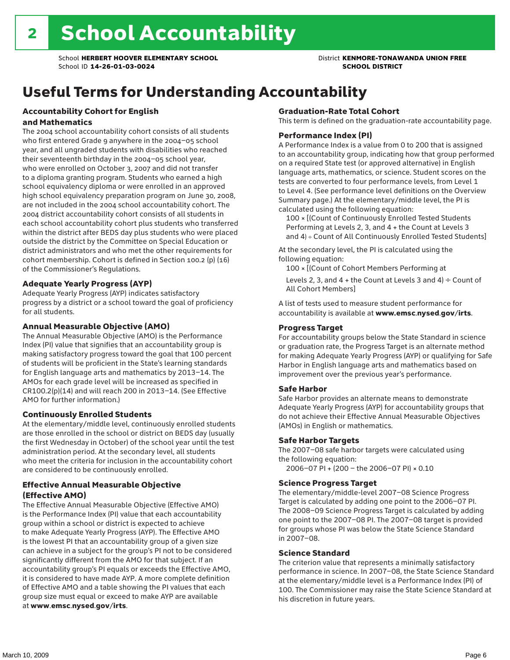## Useful Terms for Understanding Accountability

#### Accountability Cohort for English and Mathematics

The 2004 school accountability cohort consists of all students who first entered Grade 9 anywhere in the 2004–05 school year, and all ungraded students with disabilities who reached their seventeenth birthday in the 2004–05 school year, who were enrolled on October 3, 2007 and did not transfer to a diploma granting program. Students who earned a high school equivalency diploma or were enrolled in an approved high school equivalency preparation program on June 30, 2008, are not included in the 2004 school accountability cohort. The 2004 district accountability cohort consists of all students in each school accountability cohort plus students who transferred within the district after BEDS day plus students who were placed outside the district by the Committee on Special Education or district administrators and who met the other requirements for cohort membership. Cohort is defined in Section 100.2 (p) (16) of the Commissioner's Regulations.

#### Adequate Yearly Progress (AYP)

Adequate Yearly Progress (AYP) indicates satisfactory progress by a district or a school toward the goal of proficiency for all students.

#### Annual Measurable Objective (AMO)

The Annual Measurable Objective (AMO) is the Performance Index (PI) value that signifies that an accountability group is making satisfactory progress toward the goal that 100 percent of students will be proficient in the State's learning standards for English language arts and mathematics by 2013–14. The AMOs for each grade level will be increased as specified in CR100.2(p)(14) and will reach 200 in 2013–14. (See Effective AMO for further information.)

#### Continuously Enrolled Students

At the elementary/middle level, continuously enrolled students are those enrolled in the school or district on BEDS day (usually the first Wednesday in October) of the school year until the test administration period. At the secondary level, all students who meet the criteria for inclusion in the accountability cohort are considered to be continuously enrolled.

#### Effective Annual Measurable Objective (Effective AMO)

The Effective Annual Measurable Objective (Effective AMO) is the Performance Index (PI) value that each accountability group within a school or district is expected to achieve to make Adequate Yearly Progress (AYP). The Effective AMO is the lowest PI that an accountability group of a given size can achieve in a subject for the group's PI not to be considered significantly different from the AMO for that subject. If an accountability group's PI equals or exceeds the Effective AMO, it is considered to have made AYP. A more complete definition of Effective AMO and a table showing the PI values that each group size must equal or exceed to make AYP are available at www.emsc.nysed.gov/irts.

#### Graduation-Rate Total Cohort

This term is defined on the graduation-rate accountability page.

#### Performance Index (PI)

A Performance Index is a value from 0 to 200 that is assigned to an accountability group, indicating how that group performed on a required State test (or approved alternative) in English language arts, mathematics, or science. Student scores on the tests are converted to four performance levels, from Level 1 to Level 4. (See performance level definitions on the Overview Summary page.) At the elementary/middle level, the PI is calculated using the following equation:

100 × [(Count of Continuously Enrolled Tested Students Performing at Levels 2, 3, and 4 + the Count at Levels 3 and 4) ÷ Count of All Continuously Enrolled Tested Students]

At the secondary level, the PI is calculated using the following equation:

100 × [(Count of Cohort Members Performing at

Levels 2, 3, and 4 + the Count at Levels 3 and 4)  $\div$  Count of All Cohort Members]

A list of tests used to measure student performance for accountability is available at www.emsc.nysed.gov/irts.

#### Progress Target

For accountability groups below the State Standard in science or graduation rate, the Progress Target is an alternate method for making Adequate Yearly Progress (AYP) or qualifying for Safe Harbor in English language arts and mathematics based on improvement over the previous year's performance.

#### Safe Harbor

Safe Harbor provides an alternate means to demonstrate Adequate Yearly Progress (AYP) for accountability groups that do not achieve their Effective Annual Measurable Objectives (AMOs) in English or mathematics.

#### Safe Harbor Targets

The 2007–08 safe harbor targets were calculated using the following equation:

2006–07 PI + (200 – the 2006–07 PI) × 0.10

#### Science Progress Target

The elementary/middle-level 2007–08 Science Progress Target is calculated by adding one point to the 2006–07 PI. The 2008–09 Science Progress Target is calculated by adding one point to the 2007–08 PI. The 2007–08 target is provided for groups whose PI was below the State Science Standard in 2007–08.

#### Science Standard

The criterion value that represents a minimally satisfactory performance in science. In 2007–08, the State Science Standard at the elementary/middle level is a Performance Index (PI) of 100. The Commissioner may raise the State Science Standard at his discretion in future years.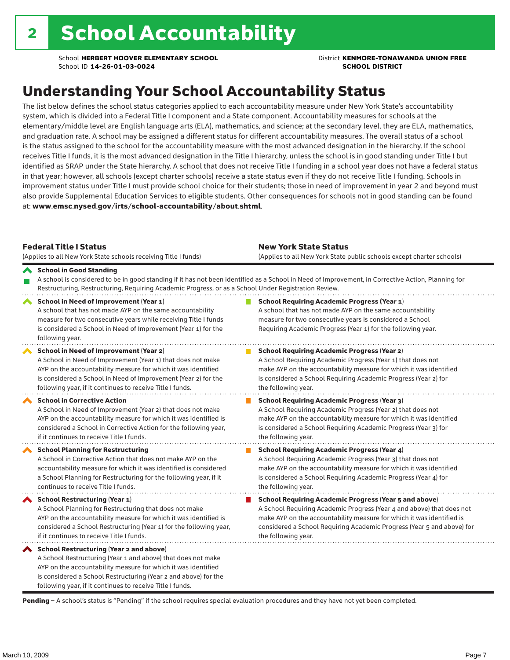### Understanding Your School Accountability Status

The list below defines the school status categories applied to each accountability measure under New York State's accountability system, which is divided into a Federal Title I component and a State component. Accountability measures for schools at the elementary/middle level are English language arts (ELA), mathematics, and science; at the secondary level, they are ELA, mathematics, and graduation rate. A school may be assigned a different status for different accountability measures. The overall status of a school is the status assigned to the school for the accountability measure with the most advanced designation in the hierarchy. If the school receives Title I funds, it is the most advanced designation in the Title I hierarchy, unless the school is in good standing under Title I but identified as SRAP under the State hierarchy. A school that does not receive Title I funding in a school year does not have a federal status in that year; however, all schools (except charter schools) receive a state status even if they do not receive Title I funding. Schools in improvement status under Title I must provide school choice for their students; those in need of improvement in year 2 and beyond must also provide Supplemental Education Services to eligible students. Other consequences for schools not in good standing can be found at: www.emsc.nysed.gov/irts/school-accountability/about.shtml.

| <b>Federal Title I Status</b><br>(Applies to all New York State schools receiving Title I funds)                                                                                                                                                                                                             | <b>New York State Status</b><br>(Applies to all New York State public schools except charter schools)                                                                                                                                                                                                           |
|--------------------------------------------------------------------------------------------------------------------------------------------------------------------------------------------------------------------------------------------------------------------------------------------------------------|-----------------------------------------------------------------------------------------------------------------------------------------------------------------------------------------------------------------------------------------------------------------------------------------------------------------|
| School in Good Standing<br>Restructuring, Restructuring, Requiring Academic Progress, or as a School Under Registration Review.                                                                                                                                                                              | A school is considered to be in good standing if it has not been identified as a School in Need of Improvement, in Corrective Action, Planning for                                                                                                                                                              |
| School in Need of Improvement (Year 1)<br>A school that has not made AYP on the same accountability<br>measure for two consecutive years while receiving Title I funds<br>is considered a School in Need of Improvement (Year 1) for the<br>following year.                                                  | <b>School Requiring Academic Progress (Year 1)</b><br>A school that has not made AYP on the same accountability<br>measure for two consecutive years is considered a School<br>Requiring Academic Progress (Year 1) for the following year.                                                                     |
| <b>School in Need of Improvement (Year 2)</b><br>A School in Need of Improvement (Year 1) that does not make<br>AYP on the accountability measure for which it was identified<br>is considered a School in Need of Improvement (Year 2) for the<br>following year, if it continues to receive Title I funds. | <b>School Requiring Academic Progress (Year 2)</b><br>A School Requiring Academic Progress (Year 1) that does not<br>make AYP on the accountability measure for which it was identified<br>is considered a School Requiring Academic Progress (Year 2) for<br>the following year.                               |
| <b>School in Corrective Action</b><br>A School in Need of Improvement (Year 2) that does not make<br>AYP on the accountability measure for which it was identified is<br>considered a School in Corrective Action for the following year,<br>if it continues to receive Title I funds.                       | <b>School Requiring Academic Progress (Year 3)</b><br>A School Requiring Academic Progress (Year 2) that does not<br>make AYP on the accountability measure for which it was identified<br>is considered a School Requiring Academic Progress (Year 3) for<br>the following year.                               |
| <b>School Planning for Restructuring</b><br>A School in Corrective Action that does not make AYP on the<br>accountability measure for which it was identified is considered<br>a School Planning for Restructuring for the following year, if it<br>continues to receive Title I funds.                      | <b>School Requiring Academic Progress (Year 4)</b><br>A School Requiring Academic Progress (Year 3) that does not<br>make AYP on the accountability measure for which it was identified<br>is considered a School Requiring Academic Progress (Year 4) for<br>the following year.                               |
| School Restructuring (Year 1)<br>A School Planning for Restructuring that does not make<br>AYP on the accountability measure for which it was identified is<br>considered a School Restructuring (Year 1) for the following year,<br>if it continues to receive Title I funds.                               | <b>School Requiring Academic Progress (Year 5 and above)</b><br>A School Requiring Academic Progress (Year 4 and above) that does not<br>make AYP on the accountability measure for which it was identified is<br>considered a School Requiring Academic Progress (Year 5 and above) for<br>the following year. |
| School Restructuring (Year 2 and above)<br>A School Restructuring (Year 1 and above) that does not make<br>AYP on the accountability measure for which it was identified<br>is considered a School Restructuring (Year 2 and above) for the<br>following year, if it continues to receive Title I funds.     |                                                                                                                                                                                                                                                                                                                 |

Pending - A school's status is "Pending" if the school requires special evaluation procedures and they have not yet been completed.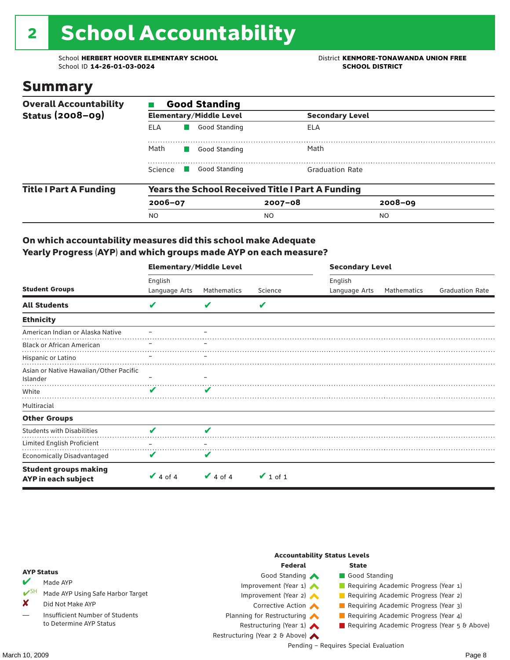# 2 School Accountability

School **HERBERT HOOVER ELEMENTARY SCHOOL** District **KENMORE-TONAWANDA UNION FREE**<br>School ID 14-26-01-03-0024 **District SCHOOL DISTRICT** School ID **14-26-01-03-0024** 

### Summary

| <b>Overall Accountability</b> | <b>Good Standing</b>  |                                           |                                                         |                        |  |  |  |
|-------------------------------|-----------------------|-------------------------------------------|---------------------------------------------------------|------------------------|--|--|--|
| <b>Status (2008-09)</b>       |                       | <b>Elementary/Middle Level</b>            |                                                         | <b>Secondary Level</b> |  |  |  |
|                               | <b>ELA</b>            | Good Standing                             | ELA                                                     |                        |  |  |  |
|                               | Math<br>Good Standing |                                           | Math                                                    |                        |  |  |  |
|                               | Science               | Good Standing<br><b>Contract Contract</b> | <b>Graduation Rate</b>                                  |                        |  |  |  |
| <b>Title I Part A Funding</b> |                       |                                           | <b>Years the School Received Title I Part A Funding</b> |                        |  |  |  |
|                               | $2006 - 07$           |                                           | $2007 - 08$                                             | $2008 - 09$            |  |  |  |
|                               | <b>NO</b>             |                                           | NO.                                                     | NO.                    |  |  |  |

#### On which accountability measures did this school make Adequate Yearly Progress (AYP) and which groups made AYP on each measure?

|                                                     | <b>Elementary/Middle Level</b> |               |               | <b>Secondary Level</b> |             |                        |  |
|-----------------------------------------------------|--------------------------------|---------------|---------------|------------------------|-------------|------------------------|--|
|                                                     | English                        |               |               | English                |             |                        |  |
| <b>Student Groups</b>                               | Language Arts                  | Mathematics   | Science       | Language Arts          | Mathematics | <b>Graduation Rate</b> |  |
| <b>All Students</b>                                 | V                              | v             | V             |                        |             |                        |  |
| <b>Ethnicity</b>                                    |                                |               |               |                        |             |                        |  |
| American Indian or Alaska Native                    |                                |               |               |                        |             |                        |  |
| <b>Black or African American</b>                    |                                |               |               |                        |             |                        |  |
| Hispanic or Latino                                  |                                |               |               |                        |             |                        |  |
| Asian or Native Hawaiian/Other Pacific<br>Islander  |                                |               |               |                        |             |                        |  |
| White                                               | ✔                              | V             |               |                        |             |                        |  |
| Multiracial                                         |                                |               |               |                        |             |                        |  |
| <b>Other Groups</b>                                 |                                |               |               |                        |             |                        |  |
| <b>Students with Disabilities</b>                   | V                              | V             |               |                        |             |                        |  |
| Limited English Proficient                          |                                |               |               |                        |             |                        |  |
| <b>Economically Disadvantaged</b>                   | V                              | V             |               |                        |             |                        |  |
| <b>Student groups making</b><br>AYP in each subject | $\vee$ 4 of 4                  | $\vee$ 4 of 4 | $\vee$ 1 of 1 |                        |             |                        |  |

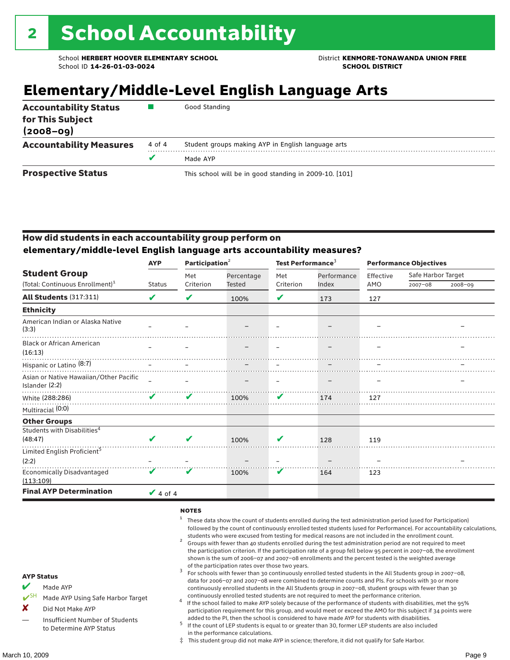### **Elementary/Middle-Level English Language Arts**

| <b>Accountability Status</b><br>for This Subject<br>$(2008 - 09)$ |        | Good Standing                                          |
|-------------------------------------------------------------------|--------|--------------------------------------------------------|
| <b>Accountability Measures</b>                                    | 4 of 4 | Student groups making AYP in English language arts     |
|                                                                   | v      | Made AYP                                               |
| <b>Prospective Status</b>                                         |        | This school will be in good standing in 2009-10. [101] |

#### How did students in each accountability group perform on **elementary/middle-level English language arts accountability measures?**

|                                                          | <b>AYP</b>      | Participation <sup>2</sup> |            | Test Performance <sup>3</sup> |             | <b>Performance Objectives</b> |                    |             |
|----------------------------------------------------------|-----------------|----------------------------|------------|-------------------------------|-------------|-------------------------------|--------------------|-------------|
| <b>Student Group</b>                                     |                 | Met                        | Percentage | Met                           | Performance | Effective                     | Safe Harbor Target |             |
| (Total: Continuous Enrollment) <sup>1</sup>              | <b>Status</b>   | Criterion                  | Tested     | Criterion                     | Index       | AMO                           | $2007 - 08$        | $2008 - 09$ |
| All Students (317:311)                                   | ✔               | V                          | 100%       | V                             | 173         | 127                           |                    |             |
| <b>Ethnicity</b>                                         |                 |                            |            |                               |             |                               |                    |             |
| American Indian or Alaska Native<br>(3:3)                |                 |                            |            |                               |             |                               |                    |             |
| <b>Black or African American</b><br>(16:13)              |                 |                            |            | $\overline{\phantom{0}}$      |             |                               |                    |             |
| Hispanic or Latino <sup>(8:7)</sup>                      |                 |                            |            |                               |             |                               |                    |             |
| Asian or Native Hawaiian/Other Pacific<br>Islander (2:2) |                 |                            |            |                               |             |                               |                    |             |
| White (288:286)                                          | ✔               | ✔                          | 100%       | V                             | 174         | 127                           |                    |             |
| Multiracial (0:0)                                        |                 |                            |            |                               |             |                               |                    |             |
| <b>Other Groups</b>                                      |                 |                            |            |                               |             |                               |                    |             |
| Students with Disabilities <sup>4</sup>                  |                 |                            |            |                               |             |                               |                    |             |
| (48:47)                                                  | ✔               | V                          | 100%       | V                             | 128         | 119                           |                    |             |
| Limited English Proficient <sup>5</sup>                  |                 |                            |            |                               |             |                               |                    |             |
| (2:2)                                                    |                 |                            |            |                               |             |                               |                    |             |
| <b>Economically Disadvantaged</b><br>(113:109)           | V               | V                          | 100%       | V                             | 164         | 123                           |                    |             |
| <b>Final AYP Determination</b>                           | $\sqrt{4}$ of 4 |                            |            |                               |             |                               |                    |             |

#### **NOTES**

- <sup>1</sup> These data show the count of students enrolled during the test administration period (used for Participation) followed by the count of continuously enrolled tested students (used for Performance). For accountability calculations,
- students who were excused from testing for medical reasons are not included in the enrollment count. <sup>2</sup> Groups with fewer than 40 students enrolled during the test administration period are not required to meet the participation criterion. If the participation rate of a group fell below 95 percent in 2007–08, the enrollment shown is the sum of 2006–07 and 2007–08 enrollments and the percent tested is the weighted average
- of the participation rates over those two years.<br><sup>3</sup> For schools with fewer than 30 continuously enrolled tested students in the All Students group in 2007–08, data for 2006–07 and 2007–08 were combined to determine counts and PIs. For schools with 30 or more continuously enrolled students in the All Students group in 2007–08, student groups with fewer than 30
- continuously enrolled tested students are not required to meet the performance criterion. <sup>4</sup> If the school failed to make AYP solely because of the performance of students with disabilities, met the 95% participation requirement for this group, and would meet or exceed the AMO for this subject if 34 points were added to the PI, then the school is considered to have made AYP for students with disabilities.
- $5$  If the count of LEP students is equal to or greater than 30, former LEP students are also included in the performance calculations.
- ‡ This student group did not make AYP in science; therefore, it did not qualify for Safe Harbor.
- Made AYP
	- Made AYP Using Safe Harbor Target
- X Did Not Make AYP
- Insufficient Number of Students to Determine AYP Status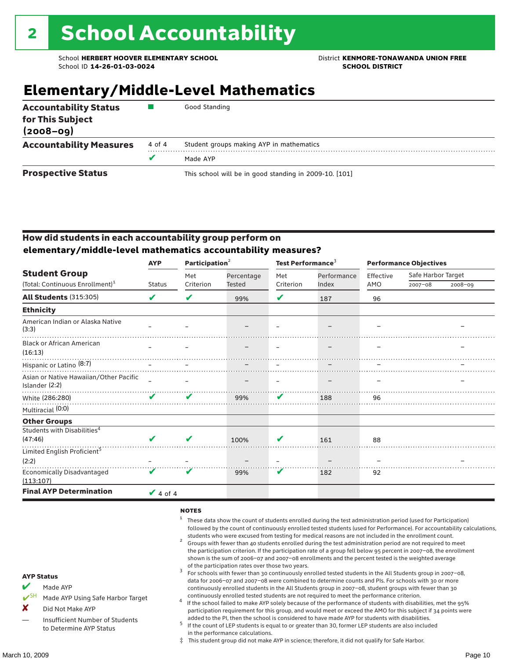### **Elementary/Middle-Level Mathematics**

| <b>Accountability Status</b><br>for This Subject<br>$(2008 - 09)$ |        | Good Standing                                          |
|-------------------------------------------------------------------|--------|--------------------------------------------------------|
| <b>Accountability Measures</b>                                    | 4 of 4 | Student groups making AYP in mathematics               |
|                                                                   |        | Made AYP                                               |
| <b>Prospective Status</b>                                         |        | This school will be in good standing in 2009-10. [101] |

#### How did students in each accountability group perform on **elementary/middle-level mathematics accountability measures?**

|                                                          | <b>AYP</b>      | Participation <sup>2</sup> |               | Test Performance <sup>3</sup> |             | <b>Performance Objectives</b> |                    |         |
|----------------------------------------------------------|-----------------|----------------------------|---------------|-------------------------------|-------------|-------------------------------|--------------------|---------|
| <b>Student Group</b>                                     |                 | Met                        | Percentage    | Met                           | Performance | Effective                     | Safe Harbor Target |         |
| (Total: Continuous Enrollment) <sup>1</sup>              | <b>Status</b>   | Criterion                  | <b>Tested</b> | Criterion                     | Index       | AMO                           | $2007 - 08$        | 2008-09 |
| <b>All Students (315:305)</b>                            | V               | V                          | 99%           | V                             | 187         | 96                            |                    |         |
| <b>Ethnicity</b>                                         |                 |                            |               |                               |             |                               |                    |         |
| American Indian or Alaska Native<br>(3:3)                |                 |                            |               |                               |             |                               |                    |         |
| <b>Black or African American</b><br>(16:13)              |                 |                            |               |                               |             |                               |                    |         |
| Hispanic or Latino <sup>(8:7)</sup>                      |                 |                            |               |                               |             |                               |                    |         |
| Asian or Native Hawaiian/Other Pacific<br>Islander (2:2) |                 |                            |               |                               |             |                               |                    |         |
| White (286:280)                                          | ✔               | V                          | 99%           | V                             | 188         | 96                            |                    |         |
| Multiracial (0:0)                                        |                 |                            |               |                               |             |                               |                    |         |
| <b>Other Groups</b>                                      |                 |                            |               |                               |             |                               |                    |         |
| Students with Disabilities <sup>4</sup>                  |                 |                            |               |                               |             |                               |                    |         |
| (47:46)                                                  | ✔               | V                          | 100%          | v                             | 161         | 88                            |                    |         |
| Limited English Proficient <sup>5</sup>                  |                 |                            |               |                               |             |                               |                    |         |
| (2:2)                                                    |                 |                            |               |                               |             |                               |                    |         |
| Economically Disadvantaged<br>(113:107)                  | V               | v                          | 99%           | V                             | 182         | 92                            |                    |         |
| <b>Final AYP Determination</b>                           | $\sqrt{4}$ of 4 |                            |               |                               |             |                               |                    |         |

#### **NOTES**

- <sup>1</sup> These data show the count of students enrolled during the test administration period (used for Participation) followed by the count of continuously enrolled tested students (used for Performance). For accountability calculations,
- students who were excused from testing for medical reasons are not included in the enrollment count.<br><sup>2</sup> Groups with fewer than 40 students enrolled during the test administration period are not required to meet the participation criterion. If the participation rate of a group fell below 95 percent in 2007–08, the enrollment shown is the sum of 2006–07 and 2007–08 enrollments and the percent tested is the weighted average
- of the participation rates over those two years.<br><sup>3</sup> For schools with fewer than 30 continuously enrolled tested students in the All Students group in 2007–08, data for 2006–07 and 2007–08 were combined to determine counts and PIs. For schools with 30 or more continuously enrolled students in the All Students group in 2007–08, student groups with fewer than 30
- continuously enrolled tested students are not required to meet the performance criterion. <sup>4</sup> If the school failed to make AYP solely because of the performance of students with disabilities, met the 95% participation requirement for this group, and would meet or exceed the AMO for this subject if 34 points were added to the PI, then the school is considered to have made AYP for students with disabilities.
- $5$  If the count of LEP students is equal to or greater than 30, former LEP students are also included in the performance calculations.
- ‡ This student group did not make AYP in science; therefore, it did not qualify for Safe Harbor.
- Made AYP
	- Made AYP Using Safe Harbor Target
- X Did Not Make AYP
- Insufficient Number of Students to Determine AYP Status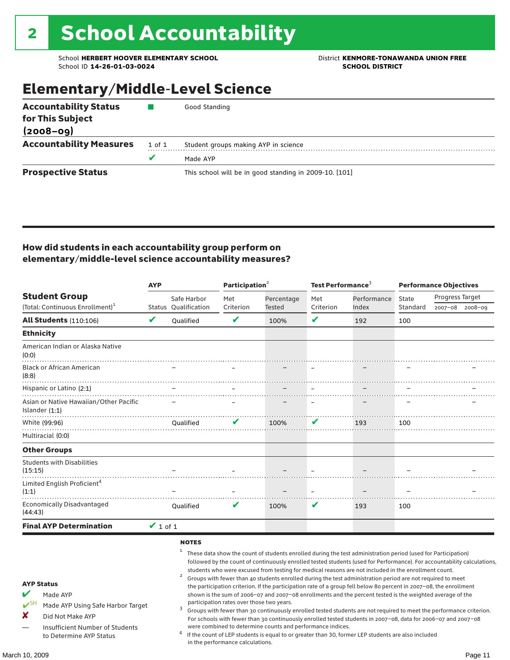### Elementary/Middle-Level Science

| <b>Accountability Status</b>   |        | Good Standing                                          |
|--------------------------------|--------|--------------------------------------------------------|
| for This Subject               |        |                                                        |
| $(2008 - 09)$                  |        |                                                        |
| <b>Accountability Measures</b> | 1 of 1 | Student groups making AYP in science                   |
|                                |        | Made AYP                                               |
| <b>Prospective Status</b>      |        | This school will be in good standing in 2009-10. [101] |

#### How did students in each accountability group perform on elementary/middle-level science accountability measures?

|                                                                                                                                                                                   | <b>AYP</b>                 |                             | Participation <sup>2</sup>                                                    |                                                            | Test Performance <sup>3</sup> |                                                                                                                                                                                                                                                                                                                                                                                                                                                                                                                                                                                                                                                                                                                                                                                                                                                                                                                                                                                                                                                 | <b>Performance Objectives</b> |                 |                 |
|-----------------------------------------------------------------------------------------------------------------------------------------------------------------------------------|----------------------------|-----------------------------|-------------------------------------------------------------------------------|------------------------------------------------------------|-------------------------------|-------------------------------------------------------------------------------------------------------------------------------------------------------------------------------------------------------------------------------------------------------------------------------------------------------------------------------------------------------------------------------------------------------------------------------------------------------------------------------------------------------------------------------------------------------------------------------------------------------------------------------------------------------------------------------------------------------------------------------------------------------------------------------------------------------------------------------------------------------------------------------------------------------------------------------------------------------------------------------------------------------------------------------------------------|-------------------------------|-----------------|-----------------|
| <b>Student Group</b>                                                                                                                                                              |                            | Safe Harbor                 | Met                                                                           | Percentage                                                 | Met                           | Performance                                                                                                                                                                                                                                                                                                                                                                                                                                                                                                                                                                                                                                                                                                                                                                                                                                                                                                                                                                                                                                     | State                         | Progress Target |                 |
| (Total: Continuous Enrollment) <sup>1</sup>                                                                                                                                       |                            | Status Qualification        | Criterion                                                                     | Tested                                                     | Criterion                     | Index                                                                                                                                                                                                                                                                                                                                                                                                                                                                                                                                                                                                                                                                                                                                                                                                                                                                                                                                                                                                                                           | Standard                      |                 | 2007-08 2008-09 |
| <b>All Students (110:106)</b>                                                                                                                                                     | $\boldsymbol{\mathcal{U}}$ | Qualified                   | V                                                                             | 100%                                                       | V                             | 192                                                                                                                                                                                                                                                                                                                                                                                                                                                                                                                                                                                                                                                                                                                                                                                                                                                                                                                                                                                                                                             | 100                           |                 |                 |
| <b>Ethnicity</b>                                                                                                                                                                  |                            |                             |                                                                               |                                                            |                               |                                                                                                                                                                                                                                                                                                                                                                                                                                                                                                                                                                                                                                                                                                                                                                                                                                                                                                                                                                                                                                                 |                               |                 |                 |
| American Indian or Alaska Native<br>(0:0)                                                                                                                                         |                            |                             |                                                                               |                                                            |                               |                                                                                                                                                                                                                                                                                                                                                                                                                                                                                                                                                                                                                                                                                                                                                                                                                                                                                                                                                                                                                                                 |                               |                 |                 |
| <b>Black or African American</b><br>(8:8)                                                                                                                                         |                            |                             |                                                                               |                                                            |                               |                                                                                                                                                                                                                                                                                                                                                                                                                                                                                                                                                                                                                                                                                                                                                                                                                                                                                                                                                                                                                                                 |                               |                 |                 |
| Hispanic or Latino (2:1)                                                                                                                                                          |                            |                             |                                                                               |                                                            |                               |                                                                                                                                                                                                                                                                                                                                                                                                                                                                                                                                                                                                                                                                                                                                                                                                                                                                                                                                                                                                                                                 |                               |                 |                 |
| Asian or Native Hawaiian/Other Pacific<br>Islander $(1:1)$                                                                                                                        |                            |                             |                                                                               |                                                            |                               |                                                                                                                                                                                                                                                                                                                                                                                                                                                                                                                                                                                                                                                                                                                                                                                                                                                                                                                                                                                                                                                 |                               |                 |                 |
| White (99:96)                                                                                                                                                                     |                            | Qualified                   | V                                                                             | 100%                                                       | V                             | 193                                                                                                                                                                                                                                                                                                                                                                                                                                                                                                                                                                                                                                                                                                                                                                                                                                                                                                                                                                                                                                             | 100                           |                 |                 |
| Multiracial (0:0)                                                                                                                                                                 |                            |                             |                                                                               |                                                            |                               |                                                                                                                                                                                                                                                                                                                                                                                                                                                                                                                                                                                                                                                                                                                                                                                                                                                                                                                                                                                                                                                 |                               |                 |                 |
| <b>Other Groups</b>                                                                                                                                                               |                            |                             |                                                                               |                                                            |                               |                                                                                                                                                                                                                                                                                                                                                                                                                                                                                                                                                                                                                                                                                                                                                                                                                                                                                                                                                                                                                                                 |                               |                 |                 |
| <b>Students with Disabilities</b><br>(15:15)                                                                                                                                      |                            |                             |                                                                               |                                                            |                               |                                                                                                                                                                                                                                                                                                                                                                                                                                                                                                                                                                                                                                                                                                                                                                                                                                                                                                                                                                                                                                                 |                               |                 |                 |
| Limited English Proficient <sup>4</sup><br>(1:1)                                                                                                                                  |                            |                             |                                                                               |                                                            |                               |                                                                                                                                                                                                                                                                                                                                                                                                                                                                                                                                                                                                                                                                                                                                                                                                                                                                                                                                                                                                                                                 |                               |                 |                 |
| <b>Economically Disadvantaged</b><br>(44:43)                                                                                                                                      |                            | Qualified                   | $\mathbf v$                                                                   | 100%                                                       | V                             | 193                                                                                                                                                                                                                                                                                                                                                                                                                                                                                                                                                                                                                                                                                                                                                                                                                                                                                                                                                                                                                                             | 100                           |                 |                 |
| <b>Final AYP Determination</b>                                                                                                                                                    | $\vee$ 1 of 1              |                             |                                                                               |                                                            |                               |                                                                                                                                                                                                                                                                                                                                                                                                                                                                                                                                                                                                                                                                                                                                                                                                                                                                                                                                                                                                                                                 |                               |                 |                 |
| <b>AYP Status</b><br>V<br>Made AYP<br>$V^{\text{SH}}$<br>Made AYP Using Safe Harbor Target<br>X<br>Did Not Make AYP<br>Insufficient Number of Students<br>to Determine AYP Status |                            | <b>NOTES</b><br>1<br>2<br>3 | participation rates over those two years.<br>in the performance calculations. | were combined to determine counts and performance indices. |                               | These data show the count of students enrolled during the test administration period (used for Participation)<br>followed by the count of continuously enrolled tested students (used for Performance). For accountability calculations,<br>students who were excused from testing for medical reasons are not included in the enrollment count.<br>Groups with fewer than 40 students enrolled during the test administration period are not required to meet<br>the participation criterion. If the participation rate of a group fell below 80 percent in 2007-08, the enrollment<br>shown is the sum of 2006-07 and 2007-08 enrollments and the percent tested is the weighted average of the<br>Groups with fewer than 30 continuously enrolled tested students are not required to meet the performance criterion.<br>For schools with fewer than 30 continuously enrolled tested students in 2007-08, data for 2006-07 and 2007-08<br>If the count of LEP students is equal to or greater than 30, former LEP students are also included |                               |                 |                 |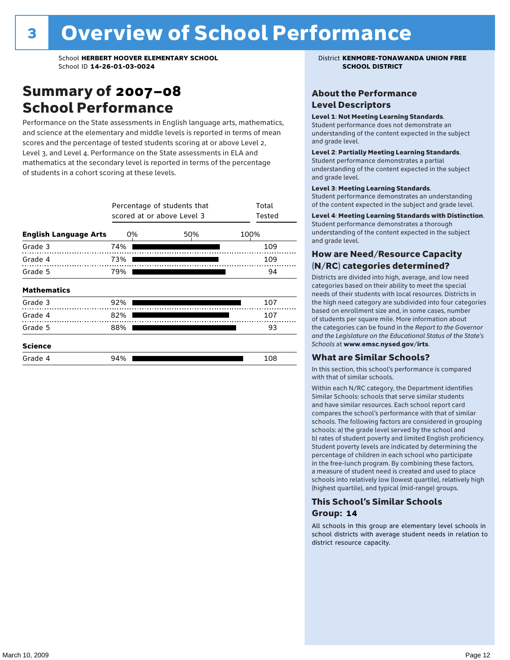### Summary of 2007–08 School Performance

Performance on the State assessments in English language arts, mathematics, and science at the elementary and middle levels is reported in terms of mean scores and the percentage of tested students scoring at or above Level 2, Level 3, and Level 4. Performance on the State assessments in ELA and mathematics at the secondary level is reported in terms of the percentage of students in a cohort scoring at these levels.

|                              | Percentage of students that<br>scored at or above Level 3 | Total<br>Tested |      |
|------------------------------|-----------------------------------------------------------|-----------------|------|
| <b>English Language Arts</b> | 0%                                                        | 50%             | 100% |
| Grade 3                      | 74%                                                       |                 | 109  |
| Grade 4                      | 73%                                                       |                 | 109  |
| Grade 5                      | 79%                                                       |                 | 94   |
| <b>Mathematics</b>           |                                                           |                 |      |
| Grade 3                      | 92%                                                       |                 | 107  |
| Grade 4                      | 82%                                                       |                 | 107  |
| Grade 5                      | 88%                                                       |                 | 93   |
| <b>Science</b>               |                                                           |                 |      |
| Grade 4                      | 94%                                                       |                 | 108  |

#### About the Performance Level Descriptors

#### Level 1: Not Meeting Learning Standards.

Student performance does not demonstrate an understanding of the content expected in the subject and grade level.

#### Level 2: Partially Meeting Learning Standards.

Student performance demonstrates a partial understanding of the content expected in the subject and grade level.

#### Level 3: Meeting Learning Standards.

Student performance demonstrates an understanding of the content expected in the subject and grade level.

#### Level 4: Meeting Learning Standards with Distinction.

Student performance demonstrates a thorough understanding of the content expected in the subject and grade level.

#### How are Need/Resource Capacity (N/RC) categories determined?

Districts are divided into high, average, and low need categories based on their ability to meet the special needs of their students with local resources. Districts in the high need category are subdivided into four categories based on enrollment size and, in some cases, number of students per square mile. More information about the categories can be found in the *Report to the Governor and the Legislature on the Educational Status of the State's Schools* at www.emsc.nysed.gov/irts.

#### What are Similar Schools?

In this section, this school's performance is compared with that of similar schools.

Within each N/RC category, the Department identifies Similar Schools: schools that serve similar students and have similar resources. Each school report card compares the school's performance with that of similar schools. The following factors are considered in grouping schools: a) the grade level served by the school and b) rates of student poverty and limited English proficiency. Student poverty levels are indicated by determining the percentage of children in each school who participate in the free-lunch program. By combining these factors, a measure of student need is created and used to place schools into relatively low (lowest quartile), relatively high (highest quartile), and typical (mid-range) groups.

#### This School's Similar Schools Group: **14**

All schools in this group are elementary level schools in school districts with average student needs in relation to district resource capacity.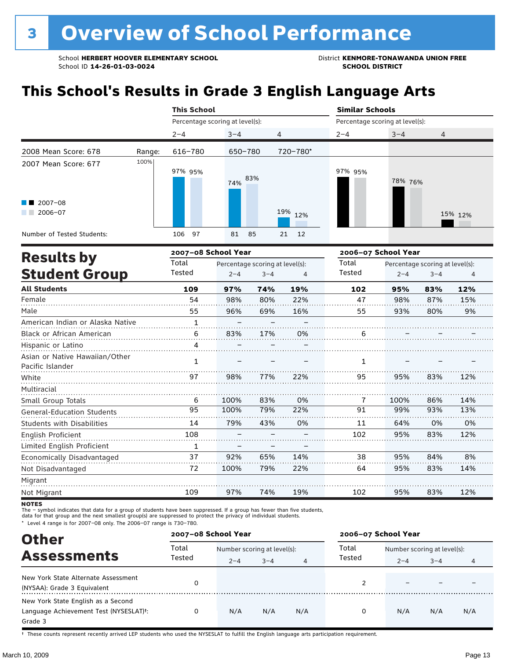### **This School's Results in Grade 3 English Language Arts**

|                                                           |        | <b>This School</b>              |            |          | <b>Similar Schools</b> |                                 |         |  |
|-----------------------------------------------------------|--------|---------------------------------|------------|----------|------------------------|---------------------------------|---------|--|
|                                                           |        | Percentage scoring at level(s): |            |          |                        | Percentage scoring at level(s): |         |  |
|                                                           |        | $2 - 4$                         | $3 - 4$    | 4        | $2 - 4$                | $3 - 4$                         | 4       |  |
| 2008 Mean Score: 678                                      | Range: | 616-780                         | 650-780    | 720-780* |                        |                                 |         |  |
| 2007 Mean Score: 677<br>$\blacksquare$ 2007-08<br>2006-07 | 100%   | 97% 95%                         | 83%<br>74% | 19% 12%  | 97% 95%                | 78% 76%                         | 15% 12% |  |
| Number of Tested Students:                                |        | 97<br>106                       | 81<br>85   | 21 12    |                        |                                 |         |  |

| <b>Results by</b>                                  |              | 2007-08 School Year |                                 |     | 2006-07 School Year |         |                                 |     |
|----------------------------------------------------|--------------|---------------------|---------------------------------|-----|---------------------|---------|---------------------------------|-----|
|                                                    | Total        |                     | Percentage scoring at level(s): |     | Total               |         | Percentage scoring at level(s): |     |
| <b>Student Group</b>                               | Tested       | $2 - 4$             | $3 - 4$                         | 4   | Tested              | $2 - 4$ | $3 - 4$                         | 4   |
| <b>All Students</b>                                | 109          | 97%                 | 74%                             | 19% | 102                 | 95%     | 83%                             | 12% |
| Female                                             | 54           | 98%                 | 80%                             | 22% | 47                  | 98%     | 87%                             | 15% |
| Male                                               | 55           | 96%                 | 69%                             | 16% | 55                  | 93%     | 80%                             | 9%  |
| American Indian or Alaska Native                   | $\mathbf{1}$ |                     |                                 |     |                     |         |                                 |     |
| Black or African American                          | 6            | 83%                 | 17%                             | 0%  | 6                   |         |                                 |     |
| Hispanic or Latino                                 | 4            |                     |                                 |     |                     |         |                                 |     |
| Asian or Native Hawaiian/Other<br>Pacific Islander | 1            |                     |                                 |     | 1                   |         |                                 |     |
| White                                              | 97           | 98%                 | 77%                             | 22% | 95                  | 95%     | 83%                             | 12% |
| Multiracial                                        |              |                     |                                 |     |                     |         |                                 |     |
| Small Group Totals                                 | 6            | 100%                | 83%                             | 0%  | 7                   | 100%    | 86%                             | 14% |
| <b>General-Education Students</b>                  | 95           | 100%                | 79%                             | 22% | 91                  | 99%     | 93%                             | 13% |
| <b>Students with Disabilities</b>                  | 14           | 79%                 | 43%                             | 0%  | 11                  | 64%     | 0%                              | 0%  |
| English Proficient                                 | 108          |                     |                                 |     | 102                 | 95%     | 83%                             | 12% |
| Limited English Proficient                         | 1            |                     |                                 |     |                     |         |                                 |     |
| Economically Disadvantaged                         | 37           | 92%                 | 65%                             | 14% | 38                  | 95%     | 84%                             | 8%  |
| Not Disadvantaged                                  | 72           | 100%                | 79%                             | 22% | 64                  | 95%     | 83%                             | 14% |
| Migrant                                            |              |                     |                                 |     |                     |         |                                 |     |
| Not Migrant                                        | 109          | 97%                 | 74%                             | 19% | 102                 | 95%     | 83%                             | 12% |

**NOTES** 

The – symbol indicates that data for a group of students have been suppressed. If a group has fewer than five students,<br>data for that group and the next smallest group(s) are suppressed to protect the privacy of individual

\* Level 4 range is for 2007–08 only. The 2006–07 range is 730–780.

| <b>Other</b>                                                                            |                 | 2007-08 School Year                    |         |     | 2006-07 School Year |                                        |         |                |
|-----------------------------------------------------------------------------------------|-----------------|----------------------------------------|---------|-----|---------------------|----------------------------------------|---------|----------------|
| <b>Assessments</b>                                                                      | Total<br>Tested | Number scoring at level(s):<br>$2 - 4$ | $3 - 4$ | 4   | Total<br>Tested     | Number scoring at level(s):<br>$2 - 4$ | $3 - 4$ | $\overline{4}$ |
| New York State Alternate Assessment<br>(NYSAA): Grade 3 Equivalent                      |                 |                                        |         |     |                     |                                        |         |                |
| New York State English as a Second<br>Language Achievement Test (NYSESLAT)t:<br>Grade 3 |                 | N/A                                    | N/A     | N/A | 0                   | N/A                                    | N/A     | N/A            |

† These counts represent recently arrived LEP students who used the NYSESLAT to fulfill the English language arts participation requirement.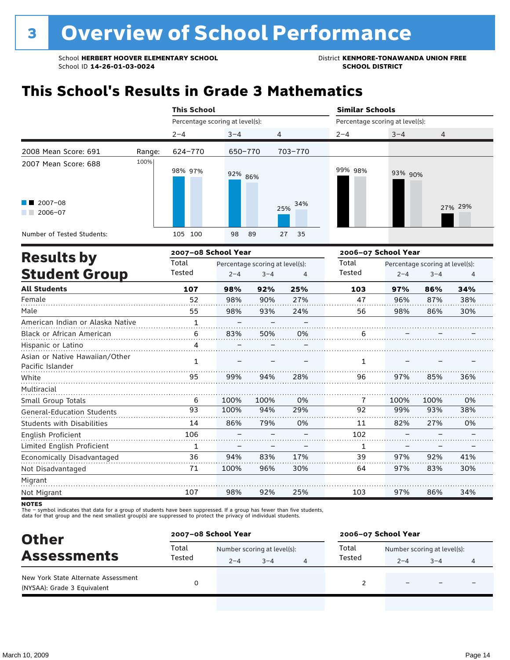### **This School's Results in Grade 3 Mathematics**

|                                                           |        | <b>This School</b>              |                                 |            | <b>Similar Schools</b>                   |                     |         |  |  |
|-----------------------------------------------------------|--------|---------------------------------|---------------------------------|------------|------------------------------------------|---------------------|---------|--|--|
|                                                           |        | Percentage scoring at level(s): |                                 |            | Percentage scoring at level(s):          |                     |         |  |  |
|                                                           |        | $2 - 4$                         | $3 - 4$                         | 4          | $2 - 4$                                  | $3 - 4$             | 4       |  |  |
| 2008 Mean Score: 691                                      | Range: | 624-770                         | 650-770                         | 703-770    |                                          |                     |         |  |  |
| 2007 Mean Score: 688<br>$\blacksquare$ 2007-08<br>2006-07 | 100%   | 98% 97%                         | 92% 86%                         | 34%<br>25% | 99% 98%                                  | 93% 90%             | 27% 29% |  |  |
| Number of Tested Students:                                |        | 105 100                         | 98<br>89                        | 27<br>35   |                                          |                     |         |  |  |
| <b>Results by</b>                                         |        | 2007-08 School Year             |                                 |            |                                          | 2006-07 School Year |         |  |  |
|                                                           |        | Total                           | Percentage scoring at level(s). |            | Total<br>Percentage scoring at level(s). |                     |         |  |  |

| IICSULLS DY                                        | Total        | Percentage scoring at level(s): |         | Total | Percentage scoring at level(s): |         |         |     |
|----------------------------------------------------|--------------|---------------------------------|---------|-------|---------------------------------|---------|---------|-----|
| <b>Student Group</b>                               | Tested       | $2 - 4$                         | $3 - 4$ | 4     | Tested                          | $2 - 4$ | $3 - 4$ | 4   |
| <b>All Students</b>                                | 107          | 98%                             | 92%     | 25%   | 103                             | 97%     | 86%     | 34% |
| Female                                             | 52           | 98%                             | 90%     | 27%   | 47                              | 96%     | 87%     | 38% |
| Male                                               | 55           | 98%                             | 93%     | 24%   | 56                              | 98%     | 86%     | 30% |
| American Indian or Alaska Native                   | $\mathbf{1}$ |                                 |         |       |                                 |         |         |     |
| Black or African American                          | 6            | 83%                             | 50%     | 0%    | 6                               |         |         |     |
| Hispanic or Latino                                 | 4            |                                 |         |       |                                 |         |         |     |
| Asian or Native Hawaiian/Other<br>Pacific Islander | 1            |                                 |         |       | 1                               |         |         |     |
| White                                              | 95           | 99%                             | 94%     | 28%   | 96                              | 97%     | 85%     | 36% |
| Multiracial                                        |              |                                 |         |       |                                 |         |         |     |
| Small Group Totals                                 | 6            | 100%                            | 100%    | 0%    | 7                               | 100%    | 100%    | 0%  |
| <b>General-Education Students</b>                  | 93           | 100%                            | 94%     | 29%   | 92                              | 99%     | 93%     | 38% |
| <b>Students with Disabilities</b>                  | 14           | 86%                             | 79%     | 0%    | 11                              | 82%     | 27%     | 0%  |
| English Proficient                                 | 106          |                                 |         |       | 102                             |         |         |     |
| Limited English Proficient                         | 1            |                                 |         |       | 1                               |         |         |     |
| Economically Disadvantaged                         | 36           | 94%                             | 83%     | 17%   | 39                              | 97%     | 92%     | 41% |
| Not Disadvantaged                                  | 71           | 100%                            | 96%     | 30%   | 64                              | 97%     | 83%     | 30% |
| Migrant                                            |              |                                 |         |       |                                 |         |         |     |
| Not Migrant                                        | 107          | 98%                             | 92%     | 25%   | 103                             | 97%     | 86%     | 34% |

**NOTES** 

The – symbol indicates that data for a group of students have been suppressed. If a group has fewer than five students,<br>data for that group and the next smallest group(s) are suppressed to protect the privacy of individual

| <b>Other</b>                                                       | 2007-08 School Year |                             |         |  | 2006-07 School Year |                             |                          |  |  |
|--------------------------------------------------------------------|---------------------|-----------------------------|---------|--|---------------------|-----------------------------|--------------------------|--|--|
| <b>Assessments</b>                                                 | Total               | Number scoring at level(s): |         |  | Total               | Number scoring at level(s): |                          |  |  |
|                                                                    | Tested              | $2 - 4$                     | $3 - 4$ |  | Tested              | $2 - 4$                     | $3 - 4$                  |  |  |
| New York State Alternate Assessment<br>(NYSAA): Grade 3 Equivalent |                     |                             |         |  |                     | -                           | $\overline{\phantom{0}}$ |  |  |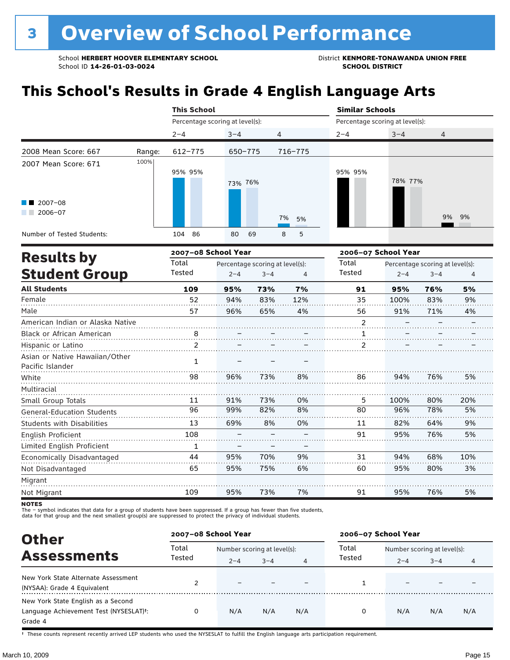### **This School's Results in Grade 4 English Language Arts**

|                                                                                     |        | <b>This School</b>              |                                                       |          |                 | <b>Similar Schools</b>          |                                                 |  |  |
|-------------------------------------------------------------------------------------|--------|---------------------------------|-------------------------------------------------------|----------|-----------------|---------------------------------|-------------------------------------------------|--|--|
|                                                                                     |        | Percentage scoring at level(s): |                                                       |          |                 | Percentage scoring at level(s): |                                                 |  |  |
|                                                                                     |        | $2 - 4$                         | $3 - 4$                                               | 4        | $2 - 4$         | $3 - 4$                         | 4                                               |  |  |
| 2008 Mean Score: 667                                                                | Range: | 612-775                         | 650-775                                               | 716-775  |                 |                                 |                                                 |  |  |
| 2007 Mean Score: 671<br>$\blacksquare$ 2007-08<br>2006-07                           | 100%   | 95% 95%                         | 73% 76%                                               | 7%<br>5% | 95% 95%         | 78% 77%                         | 9% 9%                                           |  |  |
| Number of Tested Students:                                                          |        | 86<br>104                       | 80<br>69                                              | 5<br>8   |                 |                                 |                                                 |  |  |
| 2007-08 School Year<br><b>Results by</b><br>Total<br><b>Student Group</b><br>Tested |        |                                 | Percentage scoring at level(s):<br>$2 - 4$<br>$3 - 4$ | 4        | Total<br>Tested | 2006-07 School Year<br>$2 - 4$  | Percentage scoring at level(s):<br>$3 - 4$<br>4 |  |  |

| <b>Student Group</b>                               | Tested | $2 - 4$ | $3 - 4$ | $\overline{4}$ | Tested         | $2 - 4$ | $3 - 4$ | $\overline{4}$ |
|----------------------------------------------------|--------|---------|---------|----------------|----------------|---------|---------|----------------|
| <b>All Students</b>                                | 109    | 95%     | 73%     | 7%             | 91             | 95%     | 76%     | 5%             |
| Female                                             | 52     | 94%     | 83%     | 12%            | 35             | 100%    | 83%     | 9%             |
| Male                                               | 57     | 96%     | 65%     | 4%             | 56             | 91%     | 71%     | 4%             |
| American Indian or Alaska Native                   |        |         |         |                | $\overline{2}$ |         |         |                |
| Black or African American                          | 8      |         |         |                |                |         |         |                |
| Hispanic or Latino                                 |        |         |         |                | 2              |         |         |                |
| Asian or Native Hawaiian/Other<br>Pacific Islander | 1      |         |         |                |                |         |         |                |
| White                                              | 98     | 96%     | 73%     | 8%             | 86             | 94%     | 76%     | 5%             |
| Multiracial                                        |        |         |         |                |                |         |         |                |
| Small Group Totals                                 | 11     | 91%     | 73%     | 0%             | 5              | 100%    | 80%     | 20%            |
| <b>General-Education Students</b>                  | 96     | 99%     | 82%     | 8%             | 80             | 96%     | 78%     | 5%             |
| <b>Students with Disabilities</b>                  | 13     | 69%     | 8%      | 0%             | 11             | 82%     | 64%     | 9%             |
| English Proficient                                 | 108    |         |         |                | 91             | 95%     | 76%     | 5%             |
| Limited English Proficient                         | 1      |         |         |                |                |         |         |                |
| Economically Disadvantaged                         | 44     | 95%     | 70%     | 9%             | 31             | 94%     | 68%     | 10%            |
| Not Disadvantaged                                  | 65     | 95%     | 75%     | 6%             | 60             | 95%     | 80%     | 3%             |
| Migrant                                            |        |         |         |                |                |         |         |                |
| Not Migrant                                        | 109    | 95%     | 73%     | 7%             | 91             | 95%     | 76%     | 5%             |

**NOTES** 

The – symbol indicates that data for a group of students have been suppressed. If a group has fewer than five students,<br>data for that group and the next smallest group(s) are suppressed to protect the privacy of individual

| <b>Other</b>                                                                                         | 2007-08 School Year |                             |         |     | 2006-07 School Year |                             |         |                |
|------------------------------------------------------------------------------------------------------|---------------------|-----------------------------|---------|-----|---------------------|-----------------------------|---------|----------------|
| <b>Assessments</b>                                                                                   | Total               | Number scoring at level(s): |         |     | Total               | Number scoring at level(s): |         |                |
|                                                                                                      | Tested              | $2 - 4$                     | $3 - 4$ | 4   | Tested              | $2 - 4$                     | $3 - 4$ | $\overline{4}$ |
| New York State Alternate Assessment<br>(NYSAA): Grade 4 Equivalent                                   |                     |                             |         |     |                     |                             |         |                |
| New York State English as a Second<br>Language Achievement Test (NYSESLAT) <sup>+</sup> :<br>Grade 4 |                     | N/A                         | N/A     | N/A | 0                   | N/A                         | N/A     | N/A            |

† These counts represent recently arrived LEP students who used the NYSESLAT to fulfill the English language arts participation requirement.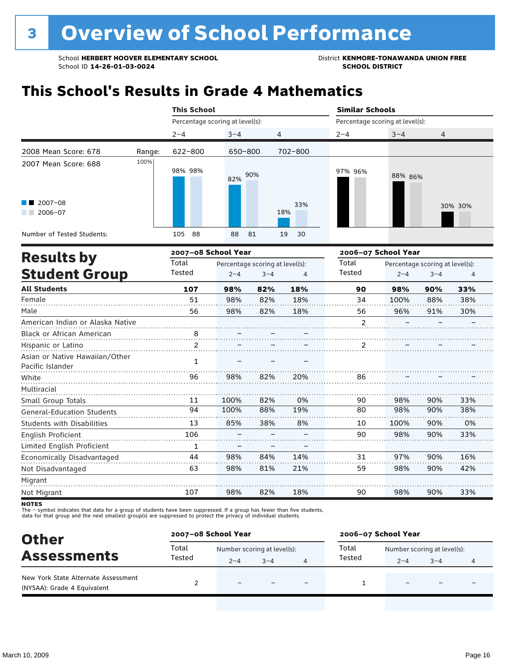## **This School's Results in Grade 4 Mathematics**

|                                                                                         |        | <b>This School</b>   |                                              |                        | <b>Similar Schools</b> |                                 |              |  |  |
|-----------------------------------------------------------------------------------------|--------|----------------------|----------------------------------------------|------------------------|------------------------|---------------------------------|--------------|--|--|
|                                                                                         |        |                      | Percentage scoring at level(s):              |                        |                        | Percentage scoring at level(s): |              |  |  |
|                                                                                         |        | $2 - 4$              | $3 - 4$                                      | 4                      | $2 - 4$                | $3 - 4$                         | 4            |  |  |
| 2008 Mean Score: 678                                                                    | Range: | 622-800              | 650-800                                      | 702-800                |                        |                                 |              |  |  |
| 2007 Mean Score: 688<br>$\blacksquare$ 2007-08<br>2006-07<br>Number of Tested Students: | 100%   | 98% 98%<br>88<br>105 | 90%<br>82%<br>88<br>81                       | 33%<br>18%<br>19<br>30 | 97% 96%                | 88% 86%                         | 30% 30%      |  |  |
|                                                                                         |        |                      |                                              |                        |                        |                                 |              |  |  |
| <b>Results by</b>                                                                       |        | 2007-08 School Year  |                                              |                        |                        | 2006-07 School Year             |              |  |  |
|                                                                                         |        | Total                | Percentage scoring at level(s):              |                        | Total                  | Percentage scoring at level(s): |              |  |  |
| <b>Student Group</b>                                                                    |        | Tested               | Tested<br>$2 - 4$<br>$3 - 4$<br>$2 - 4$<br>4 |                        |                        |                                 | $3 - 4$<br>4 |  |  |

| <b>Student of Oup</b>             | coccu | $2 - 4$ | 4–د | 4   | .              | $2 - 4$ | 5-4 | 4   |
|-----------------------------------|-------|---------|-----|-----|----------------|---------|-----|-----|
| <b>All Students</b>               | 107   | 98%     | 82% | 18% | 90             | 98%     | 90% | 33% |
| Female                            | 51    | 98%     | 82% | 18% | 34             | 100%    | 88% | 38% |
| Male                              | 56    | 98%     | 82% | 18% | 56             | 96%     | 91% | 30% |
| American Indian or Alaska Native  |       |         |     |     | $\overline{2}$ |         |     |     |
| Black or African American         | 8     |         |     |     |                |         |     |     |
| Hispanic or Latino                |       |         |     |     |                |         |     |     |
| Asian or Native Hawaiian/Other    | 1     |         |     |     |                |         |     |     |
| Pacific Islander                  |       |         |     |     |                |         |     |     |
| White                             | 96    | 98%     | 82% | 20% | 86             |         |     |     |
| Multiracial                       |       |         |     |     |                |         |     |     |
| Small Group Totals                | 11    | 100%    | 82% | 0%  | 90             | 98%     | 90% | 33% |
| <b>General-Education Students</b> | 94    | 100%    | 88% | 19% | 80             | 98%     | 90% | 38% |
| Students with Disabilities        | 13    | 85%     | 38% | 8%  | 10             | 100%    | 90% | 0%  |
| English Proficient                | 106   |         |     |     | 90             | 98%     | 90% | 33% |
| Limited English Proficient        | 1     |         |     |     |                |         |     |     |
| Economically Disadvantaged        | 44    | 98%     | 84% | 14% | 31             | 97%     | 90% | 16% |
| Not Disadvantaged                 | 63    | 98%     | 81% | 21% | 59             | 98%     | 90% | 42% |
| Migrant                           |       |         |     |     |                |         |     |     |
| Not Migrant                       | 107   | 98%     | 82% | 18% | 90             | 98%     | 90% | 33% |

**NOTES** 

The – symbol indicates that data for a group of students have been suppressed. If a group has fewer than five students,<br>data for that group and the next smallest group(s) are suppressed to protect the privacy of individual

| <b>Other</b>                                                       | 2007-08 School Year |                             |         |                          | 2006-07 School Year |                             |                          |   |
|--------------------------------------------------------------------|---------------------|-----------------------------|---------|--------------------------|---------------------|-----------------------------|--------------------------|---|
|                                                                    | Total               | Number scoring at level(s): |         |                          | Total               | Number scoring at level(s): |                          |   |
| <b>Assessments</b>                                                 | Tested              | $2 - 4$                     | $3 - 4$ |                          | Tested              | $2 - 4$                     | $3 - 4$                  | 4 |
| New York State Alternate Assessment<br>(NYSAA): Grade 4 Equivalent |                     |                             |         | $\overline{\phantom{0}}$ |                     | -                           | $\overline{\phantom{0}}$ |   |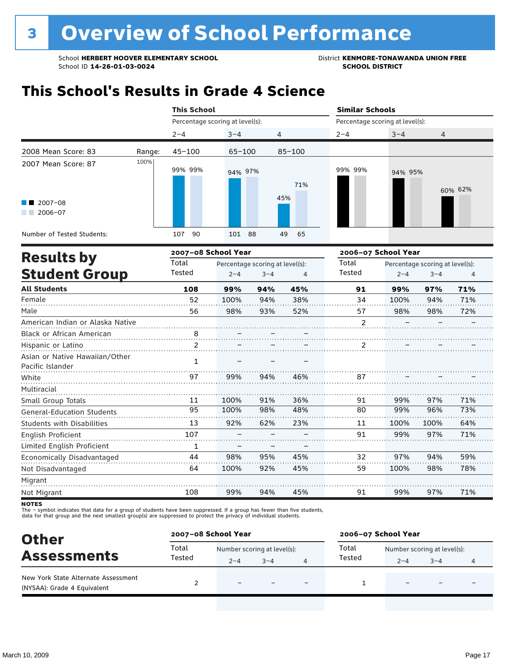### **This School's Results in Grade 4 Science**

|                                                                  |        | <b>This School</b>              |            |            | <b>Similar Schools</b> |                                           |         |
|------------------------------------------------------------------|--------|---------------------------------|------------|------------|------------------------|-------------------------------------------|---------|
|                                                                  |        | Percentage scoring at level(s): |            |            |                        | Percentage scoring at level(s):           |         |
|                                                                  |        | $2 - 4$                         | $3 - 4$    | 4          | $2 - 4$                | $3 - 4$                                   | 4       |
| 2008 Mean Score: 83                                              | Range: | $45 - 100$                      | $65 - 100$ | $85 - 100$ |                        |                                           |         |
| 2007 Mean Score: 87<br>$\blacksquare$ 2007-08<br>2006-07<br>a ka | 100%   | 99% 99%                         | 94% 97%    | 71%<br>45% | 99% 99%                | 94% 95%                                   | 60% 62% |
| Number of Tested Students:                                       |        | 90<br>107                       | 101 88     | 49<br>65   |                        |                                           |         |
|                                                                  |        | ------                          |            |            |                        | $\sim$ $\sim$ $\sim$ $\sim$ $\sim$ $\sim$ |         |

|                                                    |                | 2007-08 School Year |                                 |     | 2006-07 School Year |         |                                 |     |
|----------------------------------------------------|----------------|---------------------|---------------------------------|-----|---------------------|---------|---------------------------------|-----|
| <b>Results by</b>                                  | Total          |                     | Percentage scoring at level(s): |     | Total               |         | Percentage scoring at level(s): |     |
| <b>Student Group</b>                               | Tested         | $2 - 4$             | $3 - 4$                         | 4   | Tested              | $2 - 4$ | $3 - 4$                         | 4   |
| <b>All Students</b>                                | 108            | 99%                 | 94%                             | 45% | 91                  | 99%     | 97%                             | 71% |
| Female                                             | 52             | 100%                | 94%                             | 38% | 34                  | 100%    | 94%                             | 71% |
| Male                                               | 56             | 98%                 | 93%                             | 52% | 57                  | 98%     | 98%                             | 72% |
| American Indian or Alaska Native                   |                |                     |                                 |     | 2                   |         |                                 |     |
| <b>Black or African American</b>                   | 8              |                     |                                 |     |                     |         |                                 |     |
| Hispanic or Latino                                 | $\mathfrak{p}$ |                     |                                 |     | 2                   |         |                                 |     |
| Asian or Native Hawaiian/Other<br>Pacific Islander | 1              |                     |                                 |     |                     |         |                                 |     |
| White                                              | 97             | 99%                 | 94%                             | 46% | 87                  |         |                                 |     |
| Multiracial                                        |                |                     |                                 |     |                     |         |                                 |     |
| Small Group Totals                                 | 11             | 100%                | 91%                             | 36% | 91                  | 99%     | 97%                             | 71% |
| <b>General-Education Students</b>                  | 95             | 100%                | 98%                             | 48% | 80                  | 99%     | 96%                             | 73% |
| <b>Students with Disabilities</b>                  | 13             | 92%                 | 62%                             | 23% | 11                  | 100%    | 100%                            | 64% |
| English Proficient                                 | 107            |                     |                                 |     | 91                  | 99%     | 97%                             | 71% |
| Limited English Proficient                         | 1              |                     |                                 |     |                     |         |                                 |     |
| Economically Disadvantaged                         | 44             | 98%                 | 95%                             | 45% | 32                  | 97%     | 94%                             | 59% |
| Not Disadvantaged                                  | 64             | 100%                | 92%                             | 45% | 59                  | 100%    | 98%                             | 78% |
| Migrant                                            |                |                     |                                 |     |                     |         |                                 |     |
| Not Migrant                                        | 108            | 99%                 | 94%                             | 45% | 91                  | 99%     | 97%                             | 71% |
|                                                    |                |                     |                                 |     |                     |         |                                 |     |

NOTES<br>The – symbol indicates that data for a group of students have been suppressed. If a group has fewer than five students,<br>data for that group and the next smallest group(s) are suppressed to protect the privacy of indi

| <b>Other</b>                                                       | 2007-08 School Year |                             |         |                          | 2006-07 School Year |                             |                          |   |
|--------------------------------------------------------------------|---------------------|-----------------------------|---------|--------------------------|---------------------|-----------------------------|--------------------------|---|
|                                                                    | Total               | Number scoring at level(s): |         |                          | Total               | Number scoring at level(s): |                          |   |
| <b>Assessments</b>                                                 | Tested              | $2 - 4$                     | $3 - 4$ |                          | Tested              | $2 - 4$                     | $3 - 4$                  | 4 |
| New York State Alternate Assessment<br>(NYSAA): Grade 4 Equivalent |                     | $\overline{\phantom{0}}$    |         | $\overline{\phantom{0}}$ |                     | -                           | $\overline{\phantom{0}}$ |   |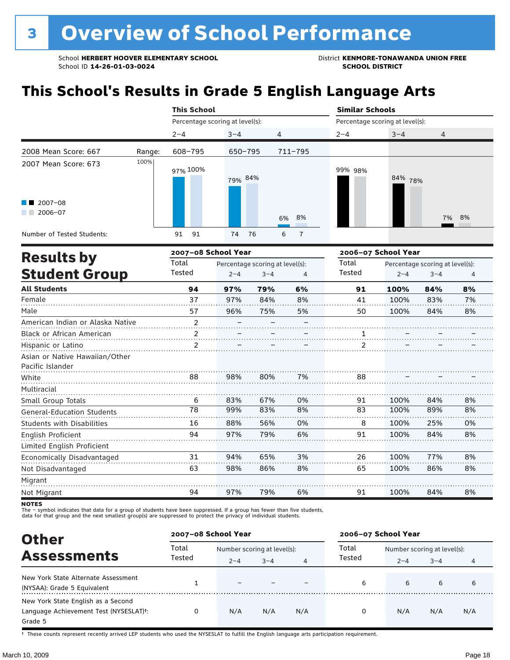### **This School's Results in Grade 5 English Language Arts**

|                                                                   |        | <b>This School</b>              |          |                     | <b>Similar Schools</b>          |            |       |
|-------------------------------------------------------------------|--------|---------------------------------|----------|---------------------|---------------------------------|------------|-------|
|                                                                   |        | Percentage scoring at level(s): |          |                     | Percentage scoring at level(s): |            |       |
|                                                                   |        | $2 - 4$                         | $3 - 4$  | $\overline{4}$      | $2 - 4$                         | $3 - 4$    | 4     |
| 2008 Mean Score: 667                                              | Range: | 608-795                         | 650-795  | 711-795             |                                 |            |       |
| 2007 Mean Score: 673<br>$\blacksquare$ 2007-08<br>2006-07<br>a ka | 100%   | 97% 100%                        | 79% 84%  | 6% 8%               | 99% 98%                         | 84%<br>78% | 7% 8% |
| Number of Tested Students:                                        |        | 91<br>91                        | 76<br>74 | $\overline{7}$<br>6 |                                 |            |       |
|                                                                   |        | <b>ACCEPTAN CALABLE VASH</b>    |          |                     | anna an Cebeel Vess             |            |       |

|                                                    |                | 2007-08 School Year |                                 |    | 2006-07 School Year |         |                                 |    |
|----------------------------------------------------|----------------|---------------------|---------------------------------|----|---------------------|---------|---------------------------------|----|
| <b>Results by</b>                                  | Total          |                     | Percentage scoring at level(s): |    | Total               |         | Percentage scoring at level(s): |    |
| <b>Student Group</b>                               | Tested         | $2 - 4$             | $3 - 4$                         | 4  | Tested              | $2 - 4$ | $3 - 4$                         | 4  |
| <b>All Students</b>                                | 94             | 97%                 | 79%                             | 6% | 91                  | 100%    | 84%                             | 8% |
| Female                                             | 37             | 97%                 | 84%                             | 8% | 41                  | 100%    | 83%                             | 7% |
| Male                                               | 57             | 96%                 | 75%                             | 5% | 50                  | 100%    | 84%                             | 8% |
| American Indian or Alaska Native                   | $\overline{2}$ |                     |                                 |    |                     |         |                                 |    |
| <b>Black or African American</b>                   | 2              |                     |                                 |    |                     |         |                                 |    |
| Hispanic or Latino                                 | $\mathfrak{p}$ |                     |                                 |    | $\mathcal{P}$       |         |                                 |    |
| Asian or Native Hawaiian/Other<br>Pacific Islander |                |                     |                                 |    |                     |         |                                 |    |
| White                                              | 88             | 98%                 | 80%                             | 7% | 88                  |         |                                 |    |
| Multiracial                                        |                |                     |                                 |    |                     |         |                                 |    |
| Small Group Totals                                 | 6              | 83%                 | 67%                             | 0% | 91                  | 100%    | 84%                             | 8% |
| <b>General-Education Students</b>                  | 78             | 99%                 | 83%                             | 8% | 83                  | 100%    | 89%                             | 8% |
| <b>Students with Disabilities</b>                  | 16             | 88%                 | 56%                             | 0% | 8                   | 100%    | 25%                             | 0% |
| English Proficient                                 | 94             | 97%                 | 79%                             | 6% | 91                  | 100%    | 84%                             | 8% |
| Limited English Proficient                         |                |                     |                                 |    |                     |         |                                 |    |
| Economically Disadvantaged                         | 31             | 94%                 | 65%                             | 3% | 26                  | 100%    | 77%                             | 8% |
| Not Disadvantaged                                  | 63             | 98%                 | 86%                             | 8% | 65                  | 100%    | 86%                             | 8% |
| Migrant                                            |                |                     |                                 |    |                     |         |                                 |    |
| Not Migrant                                        | 94             | 97%                 | 79%                             | 6% | 91                  | 100%    | 84%                             | 8% |
|                                                    |                |                     |                                 |    |                     |         |                                 |    |

NOTES<br>The – symbol indicates that data for a group of students have been suppressed. If a group has fewer than five students,<br>data for that group and the next smallest group(s) are suppressed to protect the privacy of indi

| <b>Other</b>                                                                                         | 2007-08 School Year |                                        |         |     | 2006-07 School Year |                                        |         |     |
|------------------------------------------------------------------------------------------------------|---------------------|----------------------------------------|---------|-----|---------------------|----------------------------------------|---------|-----|
| <b>Assessments</b>                                                                                   | Total<br>Tested     | Number scoring at level(s):<br>$2 - 4$ | $3 - 4$ | 4   | Total<br>Tested     | Number scoring at level(s):<br>$2 - 4$ | $3 - 4$ | 4   |
| New York State Alternate Assessment<br>(NYSAA): Grade 5 Equivalent                                   |                     |                                        |         |     | 6                   | 6                                      | 6       | 6   |
| New York State English as a Second<br>Language Achievement Test (NYSESLAT) <sup>+</sup> :<br>Grade 5 |                     | N/A                                    | N/A     | N/A | 0                   | N/A                                    | N/A     | N/A |

† These counts represent recently arrived LEP students who used the NYSESLAT to fulfill the English language arts participation requirement.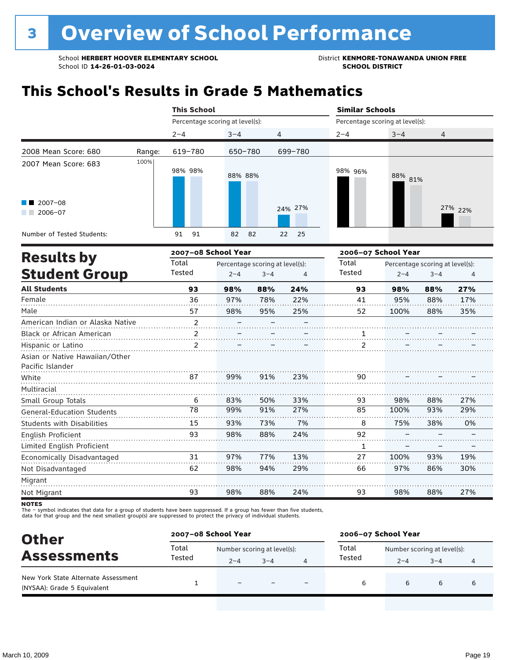### **This School's Results in Grade 5 Mathematics**

|                                                                                                                                                                                                                                                 |        | <b>This School</b>              |          |                | <b>Similar Schools</b>          |         |         |  |
|-------------------------------------------------------------------------------------------------------------------------------------------------------------------------------------------------------------------------------------------------|--------|---------------------------------|----------|----------------|---------------------------------|---------|---------|--|
|                                                                                                                                                                                                                                                 |        | Percentage scoring at level(s): |          |                | Percentage scoring at level(s): |         |         |  |
|                                                                                                                                                                                                                                                 |        | $2 - 4$                         | $3 - 4$  | $\overline{4}$ | $2 - 4$                         | $3 - 4$ | 4       |  |
| 2008 Mean Score: 680                                                                                                                                                                                                                            | Range: | 619-780                         | 650-780  | 699-780        |                                 |         |         |  |
| 2007 Mean Score: 683<br>$\blacksquare$ 2007-08                                                                                                                                                                                                  | 100%   | 98% 98%                         | 88% 88%  |                | 98% 96%                         | 88% 81% |         |  |
| 2006-07<br><b>The Contract of the Contract of the Contract of the Contract of the Contract of the Contract of the Contract of the Contract of the Contract of the Contract of the Contract of the Contract of the Contract of The Contract </b> |        |                                 |          | 24% 27%        |                                 |         | 27% 22% |  |
| Number of Tested Students:                                                                                                                                                                                                                      |        | 91<br>91                        | 82<br>82 | 22<br>- 25     |                                 |         |         |  |

|                                   |                 | 2007-08 School Year |                                 |     | 2006-07 School Year |         |                                 |     |  |
|-----------------------------------|-----------------|---------------------|---------------------------------|-----|---------------------|---------|---------------------------------|-----|--|
| <b>Results by</b>                 | Total<br>Tested |                     | Percentage scoring at level(s): |     | Total               |         | Percentage scoring at level(s): |     |  |
| <b>Student Group</b>              |                 | $2 - 4$             | $3 - 4$                         | 4   | Tested              | $2 - 4$ | $3 - 4$                         | 4   |  |
| <b>All Students</b>               | 93              | 98%                 | 88%                             | 24% | 93                  | 98%     | 88%                             | 27% |  |
| Female                            | 36              | 97%                 | 78%                             | 22% | 41                  | 95%     | 88%                             | 17% |  |
| Male                              | 57              | 98%                 | 95%                             | 25% | 52                  | 100%    | 88%                             | 35% |  |
| American Indian or Alaska Native  | $\overline{2}$  |                     |                                 |     |                     |         |                                 |     |  |
| Black or African American         | 2               |                     |                                 |     |                     |         |                                 |     |  |
| Hispanic or Latino                | $\mathfrak{p}$  |                     |                                 |     | $\mathcal{P}$       |         |                                 |     |  |
| Asian or Native Hawaiian/Other    |                 |                     |                                 |     |                     |         |                                 |     |  |
| Pacific Islander                  |                 |                     |                                 |     |                     |         |                                 |     |  |
| White                             | 87              | 99%                 | 91%                             | 23% | 90                  |         |                                 |     |  |
| Multiracial                       |                 |                     |                                 |     |                     |         |                                 |     |  |
| Small Group Totals                | 6               | 83%                 | 50%                             | 33% | 93                  | 98%     | 88%                             | 27% |  |
| <b>General-Education Students</b> | 78              | 99%                 | 91%                             | 27% | 85                  | 100%    | 93%                             | 29% |  |
| <b>Students with Disabilities</b> | 15              | 93%                 | 73%                             | 7%  | 8                   | 75%     | 38%                             | 0%  |  |
| English Proficient                | 93              | 98%                 | 88%                             | 24% | 92                  |         |                                 |     |  |
| Limited English Proficient        |                 |                     |                                 |     | 1                   |         |                                 |     |  |
| Economically Disadvantaged        | 31              | 97%                 | 77%                             | 13% | 27                  | 100%    | 93%                             | 19% |  |
| Not Disadvantaged                 | 62              | 98%                 | 94%                             | 29% | 66                  | 97%     | 86%                             | 30% |  |
| Migrant                           |                 |                     |                                 |     |                     |         |                                 |     |  |
| Not Migrant                       | 93              | 98%                 | 88%                             | 24% | 93                  | 98%     | 88%                             | 27% |  |

**NOTES** 

The – symbol indicates that data for a group of students have been suppressed. If a group has fewer than five students,<br>data for that group and the next smallest group(s) are suppressed to protect the privacy of individual

| <b>Other</b>                                                       | 2007-08 School Year |                             |         |                          | 2006-07 School Year |                             |         |   |
|--------------------------------------------------------------------|---------------------|-----------------------------|---------|--------------------------|---------------------|-----------------------------|---------|---|
|                                                                    | Total               | Number scoring at level(s): |         |                          | Total               | Number scoring at level(s): |         |   |
| <b>Assessments</b>                                                 | Tested              | $2 - 4$                     | $3 - 4$ |                          | Tested              | $2 - 4$                     | $3 - 4$ | 4 |
| New York State Alternate Assessment<br>(NYSAA): Grade 5 Equivalent |                     |                             |         | $\overline{\phantom{0}}$ | 6                   | 6                           | 6       | 6 |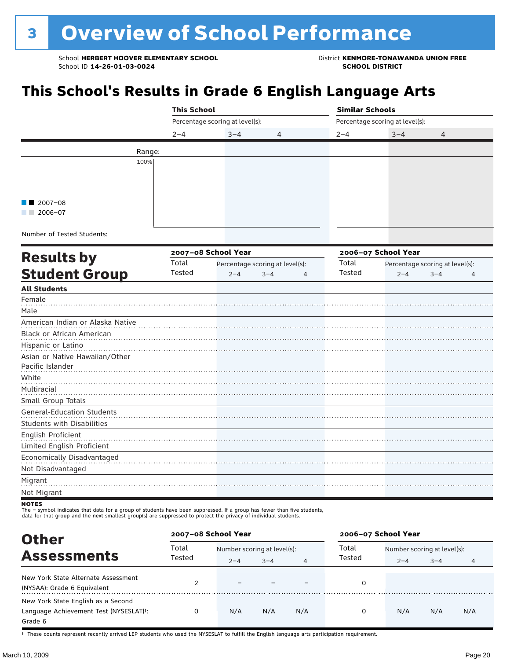### **This School's Results in Grade 6 English Language Arts**

| Percentage scoring at level(s):<br>Percentage scoring at level(s):<br>$3 - 4$<br>$3 - 4$<br>$2 - 4$<br>4<br>$2 - 4$<br>4<br>Range:<br>100%<br>2007-08<br>$2006 - 07$<br>Number of Tested Students:<br>2007-08 School Year<br>2006-07 School Year<br><b>Results by</b><br>Total<br>Total<br>Percentage scoring at level(s):<br>Percentage scoring at level(s):<br><b>Student Group</b><br>Tested<br>Tested<br>$2 - 4$<br>$3 - 4$<br>$\overline{4}$<br>$2 - 4$<br>$3 - 4$<br>$\overline{4}$<br>Female<br>Pacific Islander<br>White<br>Multiracial<br>Small Group Totals<br><b>General-Education Students</b><br><b>Students with Disabilities</b><br>English Proficient<br>Limited English Proficient<br>Economically Disadvantaged<br>Not Disadvantaged<br>Migrant<br>Not Migrant |                                  | <b>This School</b> |  |  | <b>Similar Schools</b> |  |  |  |  |
|----------------------------------------------------------------------------------------------------------------------------------------------------------------------------------------------------------------------------------------------------------------------------------------------------------------------------------------------------------------------------------------------------------------------------------------------------------------------------------------------------------------------------------------------------------------------------------------------------------------------------------------------------------------------------------------------------------------------------------------------------------------------------------|----------------------------------|--------------------|--|--|------------------------|--|--|--|--|
|                                                                                                                                                                                                                                                                                                                                                                                                                                                                                                                                                                                                                                                                                                                                                                                  |                                  |                    |  |  |                        |  |  |  |  |
|                                                                                                                                                                                                                                                                                                                                                                                                                                                                                                                                                                                                                                                                                                                                                                                  |                                  |                    |  |  |                        |  |  |  |  |
|                                                                                                                                                                                                                                                                                                                                                                                                                                                                                                                                                                                                                                                                                                                                                                                  |                                  |                    |  |  |                        |  |  |  |  |
|                                                                                                                                                                                                                                                                                                                                                                                                                                                                                                                                                                                                                                                                                                                                                                                  |                                  |                    |  |  |                        |  |  |  |  |
|                                                                                                                                                                                                                                                                                                                                                                                                                                                                                                                                                                                                                                                                                                                                                                                  |                                  |                    |  |  |                        |  |  |  |  |
|                                                                                                                                                                                                                                                                                                                                                                                                                                                                                                                                                                                                                                                                                                                                                                                  |                                  |                    |  |  |                        |  |  |  |  |
|                                                                                                                                                                                                                                                                                                                                                                                                                                                                                                                                                                                                                                                                                                                                                                                  |                                  |                    |  |  |                        |  |  |  |  |
|                                                                                                                                                                                                                                                                                                                                                                                                                                                                                                                                                                                                                                                                                                                                                                                  |                                  |                    |  |  |                        |  |  |  |  |
|                                                                                                                                                                                                                                                                                                                                                                                                                                                                                                                                                                                                                                                                                                                                                                                  |                                  |                    |  |  |                        |  |  |  |  |
|                                                                                                                                                                                                                                                                                                                                                                                                                                                                                                                                                                                                                                                                                                                                                                                  |                                  |                    |  |  |                        |  |  |  |  |
|                                                                                                                                                                                                                                                                                                                                                                                                                                                                                                                                                                                                                                                                                                                                                                                  |                                  |                    |  |  |                        |  |  |  |  |
|                                                                                                                                                                                                                                                                                                                                                                                                                                                                                                                                                                                                                                                                                                                                                                                  |                                  |                    |  |  |                        |  |  |  |  |
|                                                                                                                                                                                                                                                                                                                                                                                                                                                                                                                                                                                                                                                                                                                                                                                  |                                  |                    |  |  |                        |  |  |  |  |
|                                                                                                                                                                                                                                                                                                                                                                                                                                                                                                                                                                                                                                                                                                                                                                                  |                                  |                    |  |  |                        |  |  |  |  |
|                                                                                                                                                                                                                                                                                                                                                                                                                                                                                                                                                                                                                                                                                                                                                                                  | <b>All Students</b>              |                    |  |  |                        |  |  |  |  |
|                                                                                                                                                                                                                                                                                                                                                                                                                                                                                                                                                                                                                                                                                                                                                                                  |                                  |                    |  |  |                        |  |  |  |  |
|                                                                                                                                                                                                                                                                                                                                                                                                                                                                                                                                                                                                                                                                                                                                                                                  | Male                             |                    |  |  |                        |  |  |  |  |
|                                                                                                                                                                                                                                                                                                                                                                                                                                                                                                                                                                                                                                                                                                                                                                                  | American Indian or Alaska Native |                    |  |  |                        |  |  |  |  |
|                                                                                                                                                                                                                                                                                                                                                                                                                                                                                                                                                                                                                                                                                                                                                                                  | Black or African American        |                    |  |  |                        |  |  |  |  |
|                                                                                                                                                                                                                                                                                                                                                                                                                                                                                                                                                                                                                                                                                                                                                                                  | Hispanic or Latino               |                    |  |  |                        |  |  |  |  |
|                                                                                                                                                                                                                                                                                                                                                                                                                                                                                                                                                                                                                                                                                                                                                                                  | Asian or Native Hawaiian/Other   |                    |  |  |                        |  |  |  |  |
|                                                                                                                                                                                                                                                                                                                                                                                                                                                                                                                                                                                                                                                                                                                                                                                  |                                  |                    |  |  |                        |  |  |  |  |
|                                                                                                                                                                                                                                                                                                                                                                                                                                                                                                                                                                                                                                                                                                                                                                                  |                                  |                    |  |  |                        |  |  |  |  |
|                                                                                                                                                                                                                                                                                                                                                                                                                                                                                                                                                                                                                                                                                                                                                                                  |                                  |                    |  |  |                        |  |  |  |  |
|                                                                                                                                                                                                                                                                                                                                                                                                                                                                                                                                                                                                                                                                                                                                                                                  |                                  |                    |  |  |                        |  |  |  |  |
|                                                                                                                                                                                                                                                                                                                                                                                                                                                                                                                                                                                                                                                                                                                                                                                  |                                  |                    |  |  |                        |  |  |  |  |
|                                                                                                                                                                                                                                                                                                                                                                                                                                                                                                                                                                                                                                                                                                                                                                                  |                                  |                    |  |  |                        |  |  |  |  |
|                                                                                                                                                                                                                                                                                                                                                                                                                                                                                                                                                                                                                                                                                                                                                                                  |                                  |                    |  |  |                        |  |  |  |  |
|                                                                                                                                                                                                                                                                                                                                                                                                                                                                                                                                                                                                                                                                                                                                                                                  |                                  |                    |  |  |                        |  |  |  |  |
|                                                                                                                                                                                                                                                                                                                                                                                                                                                                                                                                                                                                                                                                                                                                                                                  |                                  |                    |  |  |                        |  |  |  |  |
|                                                                                                                                                                                                                                                                                                                                                                                                                                                                                                                                                                                                                                                                                                                                                                                  |                                  |                    |  |  |                        |  |  |  |  |
|                                                                                                                                                                                                                                                                                                                                                                                                                                                                                                                                                                                                                                                                                                                                                                                  |                                  |                    |  |  |                        |  |  |  |  |
|                                                                                                                                                                                                                                                                                                                                                                                                                                                                                                                                                                                                                                                                                                                                                                                  |                                  |                    |  |  |                        |  |  |  |  |

NOTES<br>The – symbol indicates that data for a group of students have been suppressed. If a group has fewer than five students, data for that group and the next smallest group(s) are suppressed to protect the privacy of individual students.

**Other Assessments**<br>Assessments Tested  $\frac{1}{2-4}$  and  $\frac{1}{2-4}$  and  $\frac{1}{4}$  Tested  $\frac{1}{2-4}$  and  $\frac{1}{2-4}$  and  $\frac{1}{2-4}$  and  $\frac{1}{2-4}$  and  $\frac{1}{2-4}$  and  $\frac{1}{2-4}$  and  $\frac{1}{2-4}$  and  $\frac{1}{2-4}$  and  $\frac{1}{2-4}$  $2-4$   $3-4$   $4$   $1 \text{e} \cdot \text{e} \cdot \text{e} \cdot \text{e} \cdot \text{e} \cdot \text{e} \cdot \text{e} \cdot \text{e} \cdot \text{e} \cdot \text{e} \cdot \text{e} \cdot \text{e} \cdot \text{e} \cdot \text{e} \cdot \text{e} \cdot \text{e} \cdot \text{e} \cdot \text{e} \cdot \text{e} \cdot \text{e} \cdot \text{e} \cdot \text{e} \cdot \text{e} \cdot \text{e} \cdot \text{e} \cdot \text{e} \cdot \text{e} \cdot \text{e} \cdot \text{e} \cdot$ **2007–08 School Year 2006–07 School Year** Total Tested Total Tested New York State Alternate Assessment (NYSAA): Grade 6 Equivalent <sup>2</sup> – – – <sup>0</sup> New York State English as a Second Language Achievement Test (NYSESLAT)†: Grade 6 0 N/A N/A N/A 0 N/A N/A N/A

† These counts represent recently arrived LEP students who used the NYSESLAT to fulfill the English language arts participation requirement.